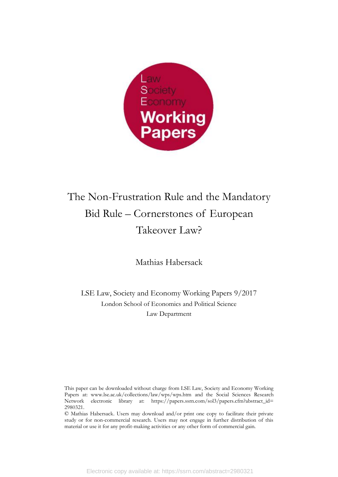

# The Non-Frustration Rule and the Mandatory Bid Rule – Cornerstones of European Takeover Law?

Mathias Habersack

LSE Law, Society and Economy Working Papers 9/2017 London School of Economics and Political Science Law Department

This paper can be downloaded without charge from LSE Law, Society and Economy Working Papers at: www.lse.ac.uk/collections/law/wps/wps.htm and the Social Sciences Research Network electronic library at: https://papers.ssrn.com/sol3/papers.cfm?abstract\_id= 2980321.

© Mathias Habersack. Users may download and/or print one copy to facilitate their private study or for non-commercial research. Users may not engage in further distribution of this material or use it for any profit-making activities or any other form of commercial gain.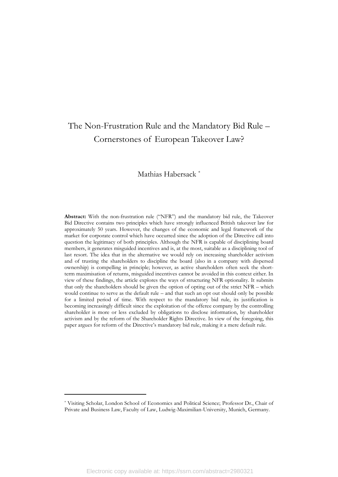## The Non-Frustration Rule and the Mandatory Bid Rule – Cornerstones of European Takeover Law?

### Mathias Habersack \*

**Abstract:** With the non-frustration rule ("NFR") and the mandatory bid rule, the Takeover Bid Directive contains two principles which have strongly influenced British takeover law for approximately 50 years. However, the changes of the economic and legal framework of the market for corporate control which have occurred since the adoption of the Directive call into question the legitimacy of both principles. Although the NFR is capable of disciplining board members, it generates misguided incentives and is, at the most, suitable as a disciplining tool of last resort. The idea that in the alternative we would rely on increasing shareholder activism and of trusting the shareholders to discipline the board (also in a company with dispersed ownership) is compelling in principle; however, as active shareholders often seek the shortterm maximisation of returns, misguided incentives cannot be avoided in this context either. In view of these findings, the article explores the ways of structuring NFR optionality. It submits that only the shareholders should be given the option of opting out of the strict NFR – which would continue to serve as the default rule – and that such an opt out should only be possible for a limited period of time. With respect to the mandatory bid rule, its justification is becoming increasingly difficult since the exploitation of the offeree company by the controlling shareholder is more or less excluded by obligations to disclose information, by shareholder activism and by the reform of the Shareholder Rights Directive. In view of the foregoing, this paper argues for reform of the Directive's mandatory bid rule, making it a mere default rule.

<sup>\*</sup> Visiting Scholar, London School of Economics and Political Science; Professor Dr., Chair of Private and Business Law, Faculty of Law, Ludwig-Maximilian-University, Munich, Germany.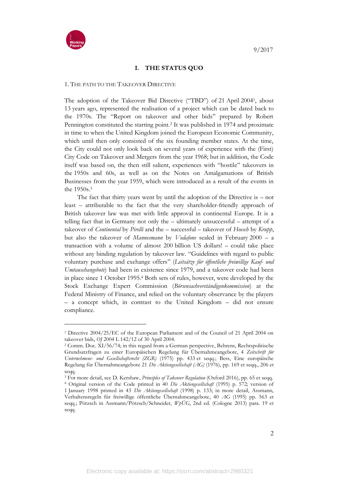

### **I. THE STATUS QUO**

#### 1. THE PATH TO THE TAKEOVER DIRECTIVE

The adoption of the Takeover Bid Directive ("TBD") of 21 April 20041, about 13 years ago, represented the realisation of a project which can be dated back to the 1970s. The "Report on takeover and other bids" prepared by Robert Pennington constituted the starting point.<sup>2</sup> It was published in 1974 and proximate in time to when the United Kingdom joined the European Economic Community, which until then only consisted of the six founding member states. At the time, the City could not only look back on several years of experience with the (First) City Code on Takeover and Mergers from the year 1968; but in addition, the Code itself was based on, the then still salient, experiences with "hostile" takeovers in the 1950s and 60s, as well as on the Notes on Amalgamations of British Businesses from the year 1959, which were introduced as a result of the events in the 1950s.<sup>3</sup>

The fact that thirty years went by until the adoption of the Directive is – not least – attributable to the fact that the very shareholder-friendly approach of British takeover law was met with little approval in continental Europe. It is a telling fact that in Germany not only the – ultimately unsuccessful – attempt of a takeover of *Continental* by *Pirelli* and the – successful – takeover of *Hoesch* by *Krupp*, but also the takeover of *Mannesmann* by *Vodafone* sealed in February 2000 – a transaction with a volume of almost 200 billion US dollars! – could take place without any binding regulation by takeover law. "Guidelines with regard to public voluntary purchase and exchange offers" (*Leitsätze für öffentliche freiwillige Kauf- und Umtauschangebote*) had been in existence since 1979, and a takeover code had been in place since 1 October 1995.<sup>4</sup> Both sets of rules, however, were developed by the Stock Exchange Expert Commission (*Börsensachverständigenkommission*) at the Federal Ministry of Finance, and relied on the voluntary observance by the players – a concept which, in contrast to the United Kingdom – did not ensure compliance.

<sup>1</sup> Directive 2004/25/EC of the European Parliament and of the Council of 21 April 2004 on takeover bids, *OJ* 2004 L 142/12 of 30 April 2004.

<sup>2</sup> Comm. Doc. XI/56/74; in this regard from a German perspective, Behrens, Rechtspolitische Grundsatzfragen zu einer Europäischen Regelung für Übernahmeangebote, 4 *Zeitschrift für Unternehmens- und Gesellschaftsrecht (ZGR)* (1975) pp. 433 et seqq.; Bess, Eine europäische Regelung für Übernahmeangebote 21 *Die Aktiengesellschaft (AG)* (1976), pp. 169 et seqq., 206 et seqq.

<sup>3</sup> For more detail, see D. Kershaw, *Principles of Takeover Regulation* (Oxford 2016), pp. 65 et seqq.

<sup>4</sup> Original version of the Code printed in 40 *Die Aktiengesellschaft* (1995) p. 572; version of 1 January 1998 printed in 43 *Die Aktiengesellschaft* (1998) p. 133; in more detail, Assmann, Verhaltensregeln für freiwillige öffentliche Übernahmeangebote, 40 *AG* (1995) pp. 563 et seqq.; Pötzsch in Assmann/Pötzsch/Schneider, *WpÜG*, 2nd ed. (Cologne 2013) para. 19 et seqq.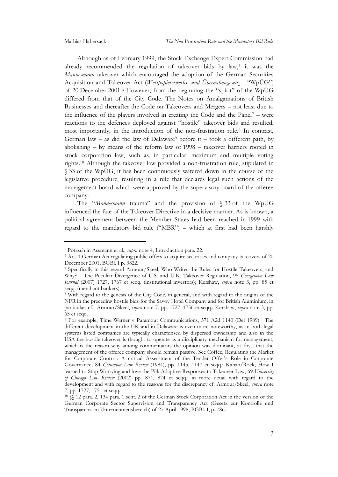Although as of February 1999, the Stock Exchange Expert Commission had already recommended the regulation of takeover bids by law,<sup>5</sup> it was the *Mannesmann* takeover which encouraged the adoption of the German Securities Acquisition and Takeover Act (*Wertpapiererwerbs- und Übernahmegesetz* – "WpÜG") of 20 December 2001.<sup>6</sup> However, from the beginning the "spirit" of the WpÜG differed from that of the City Code. The Notes on Amalgamations of British Businesses and thereafter the Code on Takeovers and Mergers – not least due to the influence of the players involved in creating the Code and the Panel<sup>7</sup> – were reactions to the defences deployed against "hostile" takeover bids and resulted, most importantly, in the introduction of the non-frustration rule.<sup>8</sup> In contrast, German law – as did the law of Delaware<sup>9</sup> before it – took a different path, by abolishing – by means of the reform law of 1998 – takeover barriers rooted in stock corporation law, such as, in particular, maximum and multiple voting rights.<sup>10</sup> Although the takeover law provided a non-frustration rule, stipulated in § 33 of the WpÜG, it has been continuously watered down in the course of the legislative procedure, resulting in a rule that declares legal such actions of the management board which were approved by the supervisory board of the offeree company.

The "*Mannesmann* trauma" and the provision of § 33 of the WpÜG influenced the fate of the Takeover Directive in a decisive manner. As is known, a political agreement between the Member States had been reached in 1999 with regard to the mandatory bid rule ("MBR") – which at first had been harshly

<sup>5</sup> Pötzsch in Assmann et al., *supra* note 4, Introduction para. 22.

<sup>6</sup> Art. 1 German Act regulating public offers to acquire securities and company takeovers of 20 December 2001, BGBl. I p. 3822.

<sup>7</sup> Specifically in this regard Armour/Skeel, Who Writes the Rules for Hostile Takeovers, and Why? – The Peculiar Divergence of U.S. and U.K. Takeover Regulation, 95 *Georgetown Law Journal* (2007) 1727, 1767 et seqq. (institutional investors); Kershaw, *supra* note 3, pp. 85 et seqq. (merchant bankers).

<sup>8</sup> With regard to the genesis of the City Code, in general, and with regard to the origins of the NFR in the preceding hostile bids for the Savoy Hotel Company and for British Aluminium, in particular, cf. Armour/Skeel, *supra* note 7, pp. 1727, 1756 et seqq.; Kershaw, *supra* note 3, pp. 65 et seqq.

<sup>9</sup> For example, Time Warner v Paramout Communications, 571 A2d 1140 (Del 1989). The different development in the UK and in Delaware is even more noteworthy, as in both legal systems listed companies are typically characterised by dispersed ownership and also in the USA the hostile takeover is thought to operate as a disciplinary mechanism for management, which is the reason why among commentators the opinion was dominant, at first, that the management of the offeree company should remain passive. See Coffee, Regulating the Market for Corporate Control: A critical Assessment of the Tender Offer's Role in Corporate Governance, 84 *Columbia Law Review* (1984), pp. 1145, 1147 et seqq.; Kahan/Rock, How I learned to Stop Worrying and love the Pill: Adaptive Responses to Takeover Law, 69 *University of Chicago Law Review* (2002) pp. 871, 874 et seqq.; in more detail with regard to the development and with regard to the reasons for the discrepancy cf. Armour/Skeel, *supra* note 7, pp. 1727, 1751 et seqq.

<sup>10</sup> §§ 12 para. 2, 134 para. 1 sent. 2 of the German Stock Corporation Act in the version of the German Corporate Sector Supervision and Transparency Act (Gesetz zur Kontrolle und Transparenz im Unternehmensbereich) of 27 April 1998, BGBl. I, p. 786.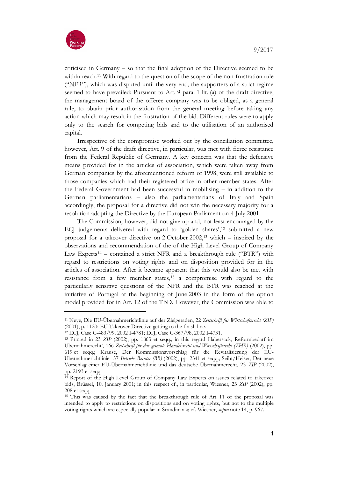

criticised in Germany – so that the final adoption of the Directive seemed to be within reach.<sup>11</sup> With regard to the question of the scope of the non-frustration rule ("NFR"), which was disputed until the very end, the supporters of a strict regime seemed to have prevailed: Pursuant to Art. 9 para. 1 lit. (a) of the draft directive, the management board of the offeree company was to be obliged, as a general rule, to obtain prior authorisation from the general meeting before taking any action which may result in the frustration of the bid. Different rules were to apply only to the search for competing bids and to the utilisation of an authorised capital.

Irrespective of the compromise worked out by the conciliation committee, however, Art. 9 of the draft directive, in particular, was met with fierce resistance from the Federal Republic of Germany. A key concern was that the defensive means provided for in the articles of association, which were taken away from German companies by the aforementioned reform of 1998, were still available to those companies which had their registered office in other member states. After the Federal Government had been successful in mobilising – in addition to the German parliamentarians – also the parliamentarians of Italy and Spain accordingly, the proposal for a directive did not win the necessary majority for a resolution adopting the Directive by the European Parliament on 4 July 2001.

The Commission, however, did not give up and, not least encouraged by the ECJ judgements delivered with regard to 'golden shares', <sup>12</sup> submitted a new proposal for a takeover directive on 2 October 2002,<sup>13</sup> which – inspired by the observations and recommendation of the of the High Level Group of Company Law Experts<sup>14</sup> – contained a strict NFR and a breakthrough rule ("BTR") with regard to restrictions on voting rights and on disposition provided for in the articles of association. After it became apparent that this would also be met with resistance from a few member states,<sup>15</sup> a compromise with regard to the particularly sensitive questions of the NFR and the BTR was reached at the initiative of Portugal at the beginning of June 2003 in the form of the option model provided for in Art. 12 of the TBD. However, the Commission was able to

<sup>11</sup> Neye, Die EU-Übernahmerichtlinie auf der Zielgeraden, 22 *Zeitschrift für Wirtschaftsrecht (ZIP)* (2001), p. 1120: EU Takeover Directive getting to the finish line.

<sup>12</sup> ECJ, Case C-483/99, 2002 I-4781; ECJ, Case C-367/98, 2002 I-4731.

<sup>13</sup> Printed in 23 *ZIP* (2002), pp. 1863 et seqq.; in this regard Habersack, Reformbedarf im Übernahmerecht!, 166 *Zeitschrift für das gesamte Handelsrecht und Wirtschaftsrecht (ZHR)* (2002), pp. 619 et seqq.; Krause, Der Kommissionsvorschlag für die Revitalisierung der EU-Übernahmerichtlinie 57 *Betriebs-Berater (BB)* (2002), pp. 2341 et seqq.; Seibt/Heiser, Der neue Vorschlag einer EU-Übernahmerichtlinie und das deutsche Übernahmerecht, 23 *ZIP* (2002), pp. 2193 et seqq.

<sup>14</sup> Report of the High Level Group of Company Law Experts on issues related to takeover bids, Brüssel, 10. January 2001; in this respect cf., in particular, Wiesner, 23 *ZIP* (2002), pp. 208 et seqq.

<sup>15</sup> This was caused by the fact that the breakthrough rule of Art. 11 of the proposal was intended to apply to restrictions on dispositions and on voting rights, but not to the multiple voting rights which are especially popular in Scandinavia; cf. Wiesner, *supra* note 14, p. 967.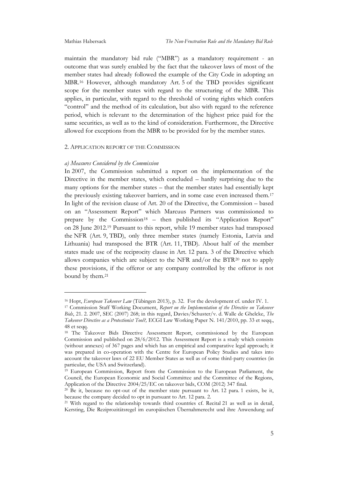maintain the mandatory bid rule ("MBR") as a mandatory requirement - an outcome that was surely enabled by the fact that the takeover laws of most of the member states had already followed the example of the City Code in adopting an MBR.<sup>16</sup> However, although mandatory Art. 5 of the TBD provides significant scope for the member states with regard to the structuring of the MBR. This applies, in particular, with regard to the threshold of voting rights which confers "control" and the method of its calculation, but also with regard to the reference period, which is relevant to the determination of the highest price paid for the same securities, as well as to the kind of consideration. Furthermore, the Directive allowed for exceptions from the MBR to be provided for by the member states.

#### 2. APPLICATION REPORT OF THE COMMISSION

#### *a) Measures Considered by the Commission*

In 2007, the Commission submitted a report on the implementation of the Directive in the member states, which concluded – hardly surprising due to the many options for the member states – that the member states had essentially kept the previously existing takeover barriers, and in some case even increased them.<sup>17</sup> In light of the revision clause of Art. 20 of the Directive, the Commission – based on an "Assessment Report" which Marcuus Partners was commissioned to prepare by the Commission<sup>18</sup> – then published its "Application Report" on 28 June 2012.<sup>19</sup> Pursuant to this report, while 19 member states had transposed the NFR (Art. 9, TBD), only three member states (namely Estonia, Latvia and Lithuania) had transposed the BTR (Art. 11, TBD). About half of the member states made use of the reciprocity clause in Art. 12 para. 3 of the Directive which allows companies which are subject to the NFR and/or the BTR<sup>20</sup> not to apply these provisions, if the offeror or any company controlled by the offeror is not bound by them.<sup>21</sup>

<sup>16</sup> Hopt, *European Takeover Law* (Tübingen 2013), p. 32. For the development cf. under IV. 1.

<sup>17</sup> Commission Staff Working Document, *Report on the Implementation of the Directive on Takeover Bids*, 21. 2. 2007, SEC (2007) 268; in this regard, Davies/Schuster/v. d. Walle de Ghelcke, *The Takeover Directive as a Protectionist Tool?,* ECGI Law Working Paper N. 141/2010, pp. 33 et seqq., 48 et seqq.

<sup>18</sup> The Takeover Bids Directive Assessment Report, commissioned by the European Commission and published on 28/6/2012. This Assessment Report is a study which consists (without annexes) of 367 pages and which has an empirical and comparative legal approach; it was prepared in co-operation with the Centre for European Policy Studies and takes into account the takeover laws of 22 EU Member States as well as of some third-party countries (in particular, the USA and Switzerland).

<sup>19</sup> European Commission, Report from the Commission to the European Parliament, the Council, the European Economic and Social Committee and the Committee of the Regions, Application of the Directive 2004/25/EC on takeover bids, COM (2012) 347 final.

 $20$  Be it, because no opt-out of the member state pursuant to Art. 12 para. 1 exists, be it, because the company decided to opt in pursuant to Art. 12 para. 2.

<sup>21</sup> With regard to the relationship towards third countries cf. Recital 21 as well as in detail, Kersting, Die Reziprozitätsregel im europäischen Übernahmerecht und ihre Anwendung auf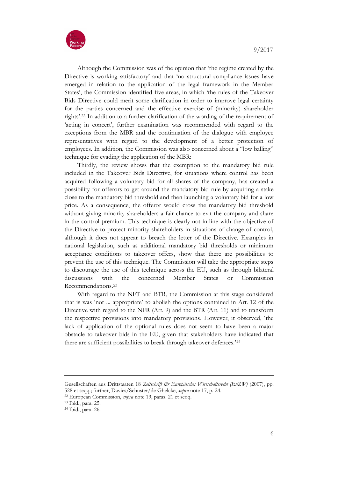

Although the Commission was of the opinion that 'the regime created by the Directive is working satisfactory' and that 'no structural compliance issues have emerged in relation to the application of the legal framework in the Member States', the Commission identified five areas, in which 'the rules of the Takeover Bids Directive could merit some clarification in order to improve legal certainty for the parties concerned and the effective exercise of (minority) shareholder rights'. <sup>22</sup> In addition to a further clarification of the wording of the requirement of 'acting in concert', further examination was recommended with regard to the exceptions from the MBR and the continuation of the dialogue with employee representatives with regard to the development of a better protection of employees. In addition, the Commission was also concerned about a "low balling" technique for evading the application of the MBR:

Thirdly, the review shows that the exemption to the mandatory bid rule included in the Takeover Bids Directive, for situations where control has been acquired following a voluntary bid for all shares of the company, has created a possibility for offerors to get around the mandatory bid rule by acquiring a stake close to the mandatory bid threshold and then launching a voluntary bid for a low price. As a consequence, the offeror would cross the mandatory bid threshold without giving minority shareholders a fair chance to exit the company and share in the control premium. This technique is clearly not in line with the objective of the Directive to protect minority shareholders in situations of change of control, although it does not appear to breach the letter of the Directive. Examples in national legislation, such as additional mandatory bid thresholds or minimum acceptance conditions to takeover offers, show that there are possibilities to prevent the use of this technique. The Commission will take the appropriate steps to discourage the use of this technique across the EU, such as through bilateral discussions with the concerned Member States or Commission Recommendations. 23

With regard to the NFT and BTR, the Commission at this stage considered that is was 'not ... appropriate' to abolish the options contained in Art. 12 of the Directive with regard to the NFR (Art. 9) and the BTR (Art. 11) and to transform the respective provisions into mandatory provisions. However, it observed, 'the lack of application of the optional rules does not seem to have been a major obstacle to takeover bids in the EU, given that stakeholders have indicated that there are sufficient possibilities to break through takeover defences.' 24

Gesellschaften aus Drittstaaten 18 *Zeitschrift für Europäisches Wirtschaftsrecht (EuZW)* (2007), pp. 528 et seqq.; further, Davies/Schuster/de Ghelcke, *supra* note 17, p. 24.

<sup>22</sup> European Commission, *supra* note 19, paras. 21 et seqq.

<sup>23</sup> Ibid., para. 25.

<sup>24</sup> Ibid., para. 26.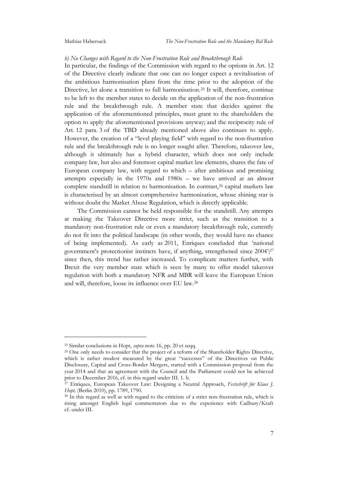#### *b) No Changes with Regard to the Non-Frustration Rule and Breakthrough Rule*

In particular, the findings of the Commission with regard to the options in Art. 12 of the Directive clearly indicate that one can no longer expect a revitalisation of the ambitious harmonisation plans from the time prior to the adoption of the Directive, let alone a transition to full harmonisation.<sup>25</sup> It will, therefore, continue to be left to the member states to decide on the application of the non-frustration rule and the breakthrough rule. A member state that decides against the application of the aforementioned principles, must grant to the shareholders the option to apply the aforementioned provisions anyway; and the reciprocity rule of Art. 12 para. 3 of the TBD already mentioned above also continues to apply. However, the creation of a "level playing field" with regard to the non-frustration rule and the breakthrough rule is no longer sought after. Therefore, takeover law, although it ultimately has a hybrid character, which does not only include company law, but also and foremost capital market law elements, shares the fate of European company law, with regard to which – after ambitious and promising attempts especially in the 1970s and 1980s – we have arrived at an almost complete standstill in relation to harmonisation. In contrast,<sup>26</sup> capital markets law is characterised by an almost comprehensive harmonisation, whose shining star is without doubt the Market Abuse Regulation, which is directly applicable.

The Commission cannot be held responsible for the standstill. Any attempts at making the Takeover Directive more strict, such as the transition to a mandatory non-frustration rule or even a mandatory breakthrough rule, currently do not fit into the political landscape (in other words, they would have no chance of being implemented). As early as 2011, Enriques concluded that 'national government's protectionist instincts have, if anything, strengthened since 2004'; 27 since then, this trend has rather increased. To complicate matters further, with Brexit the very member state which is seen by many to offer model takeover regulation with both a mandatory NFR and MBR will leave the European Union and will, therefore, loose its influence over EU law.<sup>28</sup>

<sup>25</sup> Similar conclusions in Hopt, *supra* note 16, pp. 20 et seqq.

<sup>&</sup>lt;sup>26</sup> One only needs to consider that the project of a reform of the Shareholder Rights Directive, which is rather modest measured by the great "successes" of the Directives on Public Disclosure, Capital and Cross-Border Mergers, started with a Commission proposal from the year 2014 and that an agreement with the Council and the Parliament could not be achieved prior to December 2016, cf. in this regard under III. 1. b.

<sup>27</sup> Enriques, European Takeover Law: Designing a Neutral Approach, *Festschrift für Klaus J. Hopt,* (Berlin 2010), pp. 1789, 1790.

<sup>28</sup> In this regard as well as with regard to the criticism of a strict non-frustration rule, which is rising amongst English legal commentators due to the experience with Cadbury/Kraft cf. under III.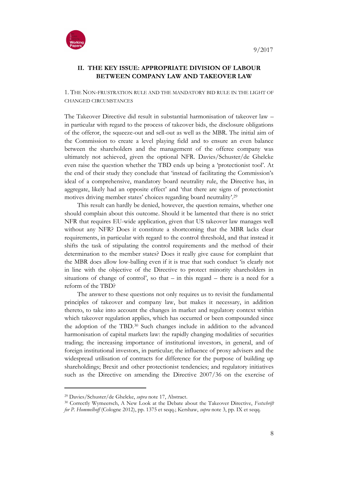

### **II. THE KEY ISSUE: APPROPRIATE DIVISION OF LABOUR BETWEEN COMPANY LAW AND TAKEOVER LAW**

1. THE NON-FRUSTRATION RULE AND THE MANDATORY BID RULE IN THE LIGHT OF CHANGED CIRCUMSTANCES

The Takeover Directive did result in substantial harmonisation of takeover law – in particular with regard to the process of takeover bids, the disclosure obligations of the offeror, the squeeze-out and sell-out as well as the MBR. The initial aim of the Commission to create a level playing field and to ensure an even balance between the shareholders and the management of the offeree company was ultimately not achieved, given the optional NFR. Davies/Schuster/de Ghelcke even raise the question whether the TBD ends up being a 'protectionist tool'. At the end of their study they conclude that 'instead of facilitating the Commission's ideal of a comprehensive, mandatory board neutrality rule, the Directive has, in aggregate, likely had an opposite effect' and 'that there are signs of protectionist motives driving member states' choices regarding board neutrality'. 29

This result can hardly be denied, however, the question remains, whether one should complain about this outcome. Should it be lamented that there is no strict NFR that requires EU-wide application, given that US takeover law manages well without any NFR? Does it constitute a shortcoming that the MBR lacks clear requirements, in particular with regard to the control threshold, and that instead it shifts the task of stipulating the control requirements and the method of their determination to the member states? Does it really give cause for complaint that the MBR does allow low-balling even if it is true that such conduct 'is clearly not in line with the objective of the Directive to protect minority shareholders in situations of change of control', so that  $-$  in this regard  $-$  there is a need for a reform of the TBD?

The answer to these questions not only requires us to revisit the fundamental principles of takeover and company law, but makes it necessary, in addition thereto, to take into account the changes in market and regulatory context within which takeover regulation applies, which has occurred or been compounded since the adoption of the TBD.<sup>30</sup> Such changes include in addition to the advanced harmonisation of capital markets law: the rapidly changing modalities of securities trading; the increasing importance of institutional investors, in general, and of foreign institutional investors, in particular; the influence of proxy advisers and the widespread utilisation of contracts for difference for the purpose of building up shareholdings; Brexit and other protectionist tendencies; and regulatory initiatives such as the Directive on amending the Directive 2007/36 on the exercise of

<sup>29</sup> Davies/Schuster/de Ghelcke, *supra* note 17, Abstract.

<sup>30</sup> Correctly Wymeersch, A New Look at the Debate about the Takeover Directive, *Festschrift for P. Hommelhoff* (Cologne 2012), pp. 1375 et seqq.; Kershaw, *supra* note 3, pp. IX et seqq.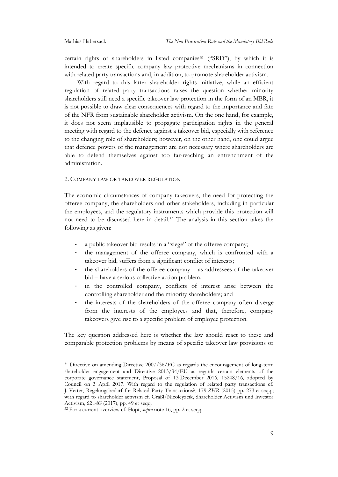certain rights of shareholders in listed companies<sup>31</sup> ("SRD"), by which it is intended to create specific company law protective mechanisms in connection with related party transactions and, in addition, to promote shareholder activism.

With regard to this latter shareholder rights initiative, while an efficient regulation of related party transactions raises the question whether minority shareholders still need a specific takeover law protection in the form of an MBR, it is not possible to draw clear consequences with regard to the importance and fate of the NFR from sustainable shareholder activism. On the one hand, for example, it does not seem implausible to propagate participation rights in the general meeting with regard to the defence against a takeover bid, especially with reference to the changing role of shareholders; however, on the other hand, one could argue that defence powers of the management are not necessary where shareholders are able to defend themselves against too far-reaching an entrenchment of the administration.

#### 2. COMPANY LAW OR TAKEOVER REGULATION

The economic circumstances of company takeovers, the need for protecting the offeree company, the shareholders and other stakeholders, including in particular the employees, and the regulatory instruments which provide this protection will not need to be discussed here in detail.<sup>32</sup> The analysis in this section takes the following as given:

- a public takeover bid results in a "siege" of the offeree company;
- the management of the offeree company, which is confronted with a takeover bid, suffers from a significant conflict of interests;
- the shareholders of the offeree company as addressees of the takeover bid – have a serious collective action problem;
- in the controlled company, conflicts of interest arise between the controlling shareholder and the minority shareholders; and
- the interests of the shareholders of the offeree company often diverge from the interests of the employees and that, therefore, company takeovers give rise to a specific problem of employee protection.

The key question addressed here is whether the law should react to these and comparable protection problems by means of specific takeover law provisions or

<sup>31</sup> Directive on amending Directive 2007/36/EC as regards the encouragement of long-term shareholder engagement and Directive 2013/34/EU as regards certain elements of the corporate governance statement, Proposal of 13 December 2016, 15248/16, adopted by Council on 3 April 2017. With regard to the regulation of related party transactions cf. J. Vetter, Regelungsbedarf für Related Party Transactions?, 179 *ZHR* (2015) pp. 273 et seqq.; with regard to shareholder activism cf. Graßl/Nicoleyzcik, Shareholder Activism und Investor Activism, 62 *AG* (2017), pp. 49 et seqq.

<sup>32</sup> For a current overview cf. Hopt, *supra* note 16, pp. 2 et seqq.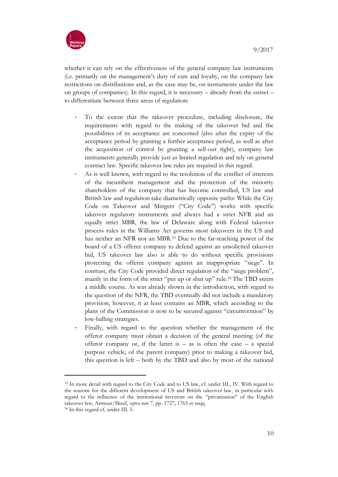

whether it can rely on the effectiveness of the general company law instruments (i.e. primarily on the management's duty of care and loyalty, on the company law restrictions on distributions and, as the case may be, on instruments under the law on groups of companies). In this regard, it is necessary – already from the outset – to differentiate between three areas of regulation:

- To the extent that the takeover procedure, including disclosure, the requirements with regard to the making of the takeover bid and the possibilities of its acceptance are concerned (also after the expiry of the acceptance period by granting a further acceptance period, as well as after the acquisition of control by granting a sell-out right), company law instruments generally provide just as limited regulation and rely on general contract law. Specific takeover law rules are required in this regard.
- As is well known, with regard to the resolution of the conflict of interests of the incumbent management and the protection of the minority shareholders of the company that has become controlled, US law and British law and regulation take diametrically opposite paths: While the City Code on Takeover and Mergers ("City Code") works with specific takeover regulatory instruments and always had a strict NFR and an equally strict MBR, the law of Delaware along with Federal takeover process rules in the Williams Act governs most takeovers in the US and has neither an NFR nor an MBR.<sup>33</sup> Due to the far-reaching power of the board of a US offeree company to defend against an unsolicited takeover bid, US takeover law also is able to do without specific provisions protecting the offeree company against an inappropriate "siege". In contrast, the City Code provided direct regulation of the "siege problem", mainly in the form of the strict "put up or shut up" rule.<sup>34</sup> The TBD steers a middle course. As was already shown in the introduction, with regard to the question of the NFR, the TBD eventually did not include a mandatory provision, however, it at least contains an MBR, which according to the plans of the Commission is now to be secured against "circumvention" by low-balling strategies.
- Finally, with regard to the question whether the management of the offeror company must obtain a decision of the general meeting (of the offeror company or, if the latter is  $-$  as is often the case  $-$  a special purpose vehicle, of the parent company) prior to making a takeover bid, this question is left – both by the TBD and also by most of the national

<sup>33</sup> In more detail with regard to the City Code and to US law, cf. under III., IV. With regard to the reasons for the different development of US and British takeover law, in particular with regard to the influence of the institutional investors on the "privatisation" of the English takeover law, Armour/Skeel, *supra note* 7, pp. 1727, 1765 et seqq.

<sup>34</sup> In this regard cf. under III. 5.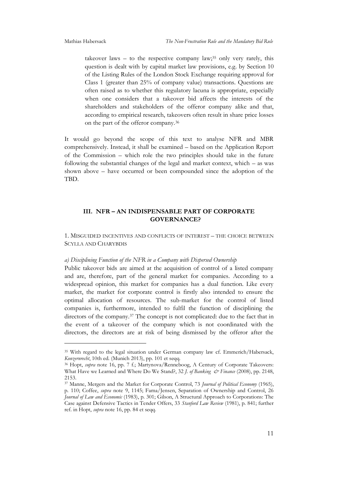takeover laws – to the respective company law; $35$  only very rarely, this question is dealt with by capital market law provisions, e.g. by Section 10 of the Listing Rules of the London Stock Exchange requiring approval for Class 1 (greater than 25% of company value) transactions. Questions are often raised as to whether this regulatory lacuna is appropriate, especially when one considers that a takeover bid affects the interests of the shareholders and stakeholders of the offeror company alike and that, according to empirical research, takeovers often result in share price losses on the part of the offeror company.<sup>36</sup>

It would go beyond the scope of this text to analyse NFR and MBR comprehensively. Instead, it shall be examined – based on the Application Report of the Commission – which role the two principles should take in the future following the substantial changes of the legal and market context, which – as was shown above – have occurred or been compounded since the adoption of the TBD.

### **III. NFR – AN INDISPENSABLE PART OF CORPORATE GOVERNANCE?**

1. MISGUIDED INCENTIVES AND CONFLICTS OF INTEREST – THE CHOICE BETWEEN SCYLLA AND CHARYBDIS

#### *a) Disciplining Function of the NFR in a Company with Dispersed Ownership*

Public takeover bids are aimed at the acquisition of control of a listed company and are, therefore, part of the general market for companies. According to a widespread opinion, this market for companies has a dual function. Like every market, the market for corporate control is firstly also intended to ensure the optimal allocation of resources. The sub-market for the control of listed companies is, furthermore, intended to fulfil the function of disciplining the directors of the company.<sup>37</sup> The concept is not complicated: due to the fact that in the event of a takeover of the company which is not coordinated with the directors, the directors are at risk of being dismissed by the offeror after the

<sup>35</sup> With regard to the legal situation under German company law cf. Emmerich/Habersack, *Konzernrecht*, 10th ed. (Munich 2013), pp. 101 et seqq.

<sup>36</sup> Hopt, *supra* note 16, pp. 7 f.; Martynova/Renneboog, A Century of Corporate Takeovers: What Have we Learned and Where Do We Stand?, 32 *J. of Banking & Finance* (2008), pp. 2148, 2153.

<sup>37</sup> Manne, Mergers and the Market for Corporate Control, 73 *Journal of Political Economy* (1965), p. 110; Coffee, *supra* note 9, 1145; Fama/Jensen, Separation of Ownership and Control, 26 *Journal of Law and Economic* (1983), p. 301; Gilson, A Structural Approach to Corporations: The Case against Defensive Tactics in Tender Offers, 33 *Stanford Law Review* (1981), p. 841; further ref. in Hopt, *supra* note 16, pp. 84 et seqq.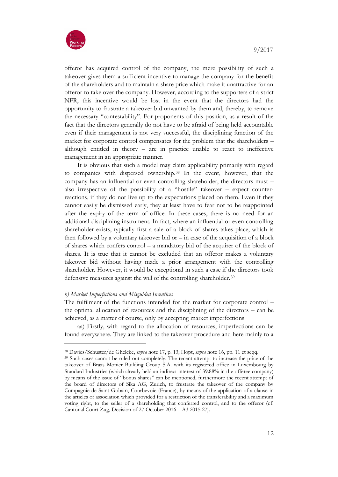

offeror has acquired control of the company, the mere possibility of such a takeover gives them a sufficient incentive to manage the company for the benefit of the shareholders and to maintain a share price which make it unattractive for an offeror to take over the company. However, according to the supporters of a strict NFR, this incentive would be lost in the event that the directors had the opportunity to frustrate a takeover bid unwanted by them and, thereby, to remove the necessary "contestability". For proponents of this position, as a result of the fact that the directors generally do not have to be afraid of being held accountable even if their management is not very successful, the disciplining function of the market for corporate control compensates for the problem that the shareholders – although entitled in theory – are in practice unable to react to ineffective management in an appropriate manner.

It is obvious that such a model may claim applicability primarily with regard to companies with dispersed ownership.<sup>38</sup> In the event, however, that the company has an influential or even controlling shareholder, the directors must – also irrespective of the possibility of a "hostile" takeover – expect counterreactions, if they do not live up to the expectations placed on them. Even if they cannot easily be dismissed early, they at least have to fear not to be reappointed after the expiry of the term of office. In these cases, there is no need for an additional disciplining instrument. In fact, where an influential or even controlling shareholder exists, typically first a sale of a block of shares takes place, which is then followed by a voluntary takeover bid or  $-$  in case of the acquisition of a block of shares which confers control – a mandatory bid of the acquirer of the block of shares. It is true that it cannot be excluded that an offeror makes a voluntary takeover bid without having made a prior arrangement with the controlling shareholder. However, it would be exceptional in such a case if the directors took defensive measures against the will of the controlling shareholder.<sup>39</sup>

#### *b) Market Imperfections and Misguided Incentives*

1

The fulfilment of the functions intended for the market for corporate control – the optimal allocation of resources and the disciplining of the directors – can be achieved, as a matter of course, only by accepting market imperfections.

aa) Firstly, with regard to the allocation of resources, imperfections can be found everywhere. They are linked to the takeover procedure and here mainly to a

<sup>38</sup> Davies/Schuster/de Ghelcke, *supra* note 17, p. 13; Hopt, *supra* note 16, pp. 11 et seqq.

<sup>39</sup> Such cases cannot be ruled out completely. The recent attempt to increase the price of the takeover of Braas Monier Building Group S.A. with its registered office in Luxembourg by Standard Industries (which already held an indirect interest of 39.88% in the offeree company) by means of the issue of "bonus shares" can be mentioned, furthermore the recent attempt of the board of directors of Sika AG, Zurich, to frustrate the takeover of the company by Compagnie de Saint Gobain, Courbevoie (France), by means of the application of a clause in the articles of association which provided for a restriction of the transferability and a maximum voting right, to the seller of a shareholding that conferred control, and to the offeror (cf. Cantonal Court Zug, Decision of 27 October 2016 – A3 2015 27).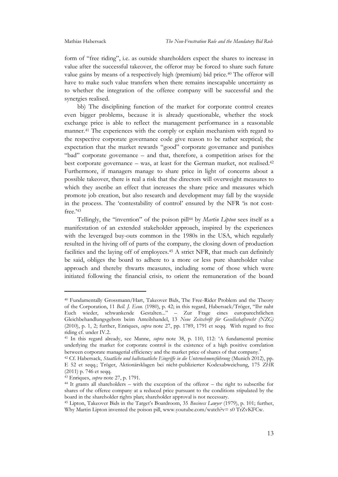form of "free riding", i.e. as outside shareholders expect the shares to increase in value after the successful takeover, the offeror may be forced to share such future value gains by means of a respectively high (premium) bid price.<sup>40</sup> The offeror will have to make such value transfers when there remains inescapable uncertainty as to whether the integration of the offeree company will be successful and the synergies realised.

bb) The disciplining function of the market for corporate control creates even bigger problems, because it is already questionable, whether the stock exchange price is able to reflect the management performance in a reasonable manner.<sup>41</sup> The experiences with the comply or explain mechanism with regard to the respective corporate governance code give reason to be rather sceptical; the expectation that the market rewards "good" corporate governance and punishes "bad" corporate governance – and that, therefore, a competition arises for the best corporate governance – was, at least for the German market, not realised.<sup>42</sup> Furthermore, if managers manage to share price in light of concerns about a possible takeover, there is real a risk that the directors will overweight measures to which they ascribe an effect that increases the share price and measures which promote job creation, but also research and development may fall by the wayside in the process. The 'contestability of control' ensured by the NFR 'is not costfree.' 43

Tellingly, the "invention" of the poison pill<sup>44</sup> by *Martin Lipton* sees itself as a manifestation of an extended stakeholder approach, inspired by the experiences with the leveraged buy-outs common in the 1980s in the USA, which regularly resulted in the hiving off of parts of the company, the closing down of production facilities and the laying off of employees.<sup>45</sup> A strict NFR, that much can definitely be said, obliges the board to adhere to a more or less pure shareholder value approach and thereby thwarts measures, including some of those which were initiated following the financial crisis, to orient the remuneration of the board

-

<sup>40</sup> Fundamentally Grossmann/Hart, Takeover Bids, The Free-Rider Problem and the Theory of the Corporation, 11 *Bell. J. Econ.* (1980), p. 42; in this regard, Habersack/Tröger, "Ihr naht Euch wieder, schwankende Gestalten..." – Zur Frage eines europarechtlichen Gleichbehandlungsgebots beim Anteilshandel, 13 *Neue Zeitschrift für Gesellschaftsrecht (NZG)* (2010), p. 1, 2; further, Enriques, *supra* note 27, pp. 1789, 1791 et seqq. With regard to free riding cf. under IV.2.

<sup>41</sup> In this regard already, see Manne, *supra* note 38, p. 110, 112: 'A fundamental premise underlying the market for corporate control is the existence of a high positive correlation between corporate managerial efficiency and the market price of shares of that company.'

<sup>42</sup> Cf. Habersack, *Staatliche und halbstaatliche Eingriffe in die Unternehmensführung* (Munich 2012), pp. E 52 et seqq.; Tröger, Aktionärsklagen bei nicht-publizierter Kodexabweichung, 175 *ZHR* (2011) p. 746 et seqq.

<sup>43</sup> Enriques, *supra* note 27, p. 1791.

<sup>44</sup> It grants all shareholders – with the exception of the offeror – the right to subscribe for shares of the offeree company at a reduced price pursuant to the conditions stipulated by the board in the shareholder rights plan; shareholder approval is not necessary.

<sup>45</sup> Lipton, Takeover Bids in the Target's Boardroom, 35 *Business Lawyer* (1979), p. 101; further, Why Martin Lipton invented the poison pill, www.youtube.com/watch?v= s0 TrZvKFCw.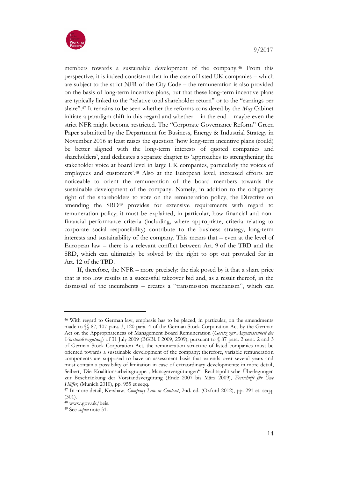

members towards a sustainable development of the company.<sup>46</sup> From this perspective, it is indeed consistent that in the case of listed UK companies – which are subject to the strict NFR of the City Code – the remuneration is also provided on the basis of long-term incentive plans, but that these long-term incentive plans are typically linked to the "relative total shareholder return" or to the "earnings per share". <sup>47</sup> It remains to be seen whether the reforms considered by the *May* Cabinet initiate a paradigm shift in this regard and whether – in the end – maybe even the strict NFR might become restricted. The "Corporate Governance Reform" Green Paper submitted by the Department for Business, Energy & Industrial Strategy in November 2016 at least raises the question 'how long-term incentive plans (could) be better aligned with the long-term interests of quoted companies and shareholders', and dedicates a separate chapter to 'approaches to strengthening the stakeholder voice at board level in large UK companies, particularly the voices of employees and customers'. <sup>48</sup> Also at the European level, increased efforts are noticeable to orient the remuneration of the board members towards the sustainable development of the company. Namely, in addition to the obligatory right of the shareholders to vote on the remuneration policy, the Directive on amending the SRD<sup>49</sup> provides for extensive requirements with regard to remuneration policy; it must be explained, in particular, how financial and nonfinancial performance criteria (including, where appropriate, criteria relating to corporate social responsibility) contribute to the business strategy, long-term interests and sustainability of the company. This means that – even at the level of European law – there is a relevant conflict between Art. 9 of the TBD and the SRD, which can ultimately be solved by the right to opt out provided for in Art. 12 of the TBD.

If, therefore, the NFR – more precisely: the risk posed by it that a share price that is too low results in a successful takeover bid and, as a result thereof, in the dismissal of the incumbents – creates a "transmission mechanism", which can

<sup>46</sup> With regard to German law, emphasis has to be placed, in particular, on the amendments made to §§ 87, 107 para. 3, 120 para. 4 of the German Stock Corporation Act by the German Act on the Appropriateness of Management Board Remuneration (*Gesetz zur Angemessenheit der Vorstandsvergütung*) of 31 July 2009 (BGBl. I 2009, 2509); pursuant to § 87 para. 2 sent. 2 and 3 of German Stock Corporation Act, the remuneration structure of listed companies must be oriented towards a sustainable development of the company; therefore, variable remuneration components are supposed to have an assessment basis that extends over several years and must contain a possibility of limitation in case of extraordinary developments; in more detail, Seibert, Die Koalitionsarbeitsgruppe "Managervergütungen": Rechtspolitische Überlegungen zur Beschränkung der Vorstandsvergütung (Ende 2007 bis März 2009), *Festschrift für Uwe Hüffer*, (Munich 2010), pp. 955 et seqq.

<sup>47</sup> In more detail, Kershaw, *Company Law in Context*, 2nd. ed. (Oxford 2012), pp. 291 et. seqq. (301).

<sup>48</sup> www.gov.uk/beis.

<sup>49</sup> See *supra* note 31.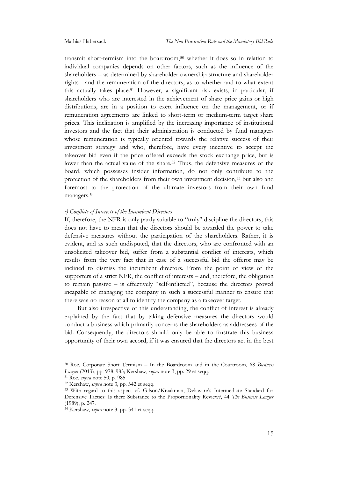transmit short-termism into the boardroom,<sup>50</sup> whether it does so in relation to individual companies depends on other factors, such as the influence of the shareholders – as determined by shareholder ownership structure and shareholder rights - and the remuneration of the directors, as to whether and to what extent this actually takes place.<sup>51</sup> However, a significant risk exists, in particular, if shareholders who are interested in the achievement of share price gains or high distributions, are in a position to exert influence on the management, or if remuneration agreements are linked to short-term or medium-term target share prices. This inclination is amplified by the increasing importance of institutional investors and the fact that their administration is conducted by fund managers whose remuneration is typically oriented towards the relative success of their investment strategy and who, therefore, have every incentive to accept the takeover bid even if the price offered exceeds the stock exchange price, but is lower than the actual value of the share.<sup>52</sup> Thus, the defensive measures of the board, which possesses insider information, do not only contribute to the protection of the shareholders from their own investment decision,<sup>53</sup> but also and foremost to the protection of the ultimate investors from their own fund managers.<sup>54</sup>

#### *c) Conflicts of Interests of the Incumbent Directors*

If, therefore, the NFR is only partly suitable to "truly" discipline the directors, this does not have to mean that the directors should be awarded the power to take defensive measures without the participation of the shareholders. Rather, it is evident, and as such undisputed, that the directors, who are confronted with an unsolicited takeover bid, suffer from a substantial conflict of interests, which results from the very fact that in case of a successful bid the offeror may be inclined to dismiss the incumbent directors. From the point of view of the supporters of a strict NFR, the conflict of interests – and, therefore, the obligation to remain passive – is effectively "self-inflicted", because the directors proved incapable of managing the company in such a successful manner to ensure that there was no reason at all to identify the company as a takeover target.

But also irrespective of this understanding, the conflict of interest is already explained by the fact that by taking defensive measures the directors would conduct a business which primarily concerns the shareholders as addressees of the bid. Consequently, the directors should only be able to frustrate this business opportunity of their own accord, if it was ensured that the directors act in the best

<sup>50</sup> Roe, Corporate Short Termism – In the Boardroom and in the Courtroom, 68 *Business Lawyer* (2013), pp. 978, 985; Kershaw, *supra* note 3, pp. 29 et seqq.

<sup>51</sup> Roe, *supra* note 50, p. 985.

<sup>52</sup> Kershaw, *supra* note 3, pp. 342 et seqq.

<sup>53</sup> With regard to this aspect cf. Gilson/Kraakman, Delaware's Intermediate Standard for Defensive Tactics: Is there Substance to the Proportionality Review?, 44 *The Business Lawyer* (1989), p. 247.

<sup>54</sup> Kershaw, *supra* note 3, pp. 341 et seqq.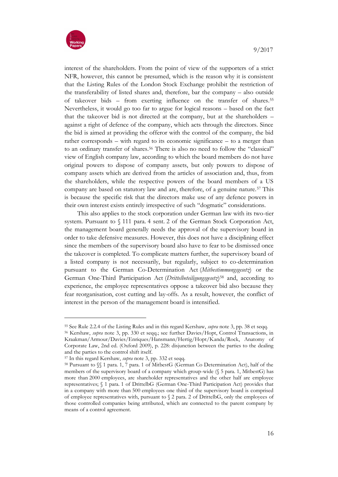

interest of the shareholders. From the point of view of the supporters of a strict NFR, however, this cannot be presumed, which is the reason why it is consistent that the Listing Rules of the London Stock Exchange prohibit the restriction of the transferability of listed shares and, therefore, bar the company – also outside of takeover bids – from exerting influence on the transfer of shares.<sup>55</sup> Nevertheless, it would go too far to argue for logical reasons – based on the fact that the takeover bid is not directed at the company, but at the shareholders – against a right of defence of the company, which acts through the directors. Since the bid is aimed at providing the offeror with the control of the company, the bid rather corresponds – with regard to its economic significance – to a merger than to an ordinary transfer of shares.<sup>56</sup> There is also no need to follow the "classical" view of English company law, according to which the board members do not have original powers to dispose of company assets, but only powers to dispose of company assets which are derived from the articles of association and, thus, from the shareholders, while the respective powers of the board members of a US company are based on statutory law and are, therefore, of a genuine nature.<sup>57</sup> This is because the specific risk that the directors make use of any defence powers in their own interest exists entirely irrespective of such "dogmatic" considerations.

This also applies to the stock corporation under German law with its two-tier system. Pursuant to § 111 para. 4 sent. 2 of the German Stock Corporation Act, the management board generally needs the approval of the supervisory board in order to take defensive measures. However, this does not have a disciplining effect since the members of the supervisory board also have to fear to be dismissed once the takeover is completed. To complicate matters further, the supervisory board of a listed company is not necessarily, but regularly, subject to co-determination pursuant to the German Co-Determination Act (*Mitbestimmungsgesetz*) or the German One-Third Participation Act (*Drittelbeteiligungsgesetz*) <sup>58</sup> and, according to experience, the employee representatives oppose a takeover bid also because they fear reorganisation, cost cutting and lay-offs. As a result, however, the conflict of interest in the person of the management board is intensified.

<sup>55</sup> See Rule 2.2.4 of the Listing Rules and in this regard Kershaw, *supra* note 3, pp. 38 et seqq.

<sup>56</sup> Kershaw, *supra* note 3, pp. 330 et seqq.; see further Davies/Hopt, Control Transactions, in Kraakman/Armour/Davies/Enriques/Hansmann/Hertig/Hopt/Kanda/Rock, Anatomy of Corporate Law, 2nd ed. (Oxford 2009), p. 228: disjunction between the parties to the dealing and the parties to the control shift itself.

<sup>57</sup> In this regard Kershaw, *supra* note 3, pp. 332 et seqq.

<sup>58</sup> Pursuant to §§ 1 para. 1, 7 para. 1 of MitbestG (German Co Determination Act), half of the members of the supervisory board of a company which group-wide (§ 5 para. 1, MitbestG) has more than 2000 employees, are shareholder representatives and the other half are employee representatives; § 1 para. 1 of DrittelbG (German One-Third Participation Act) provides that in a company with more than 500 employees one third of the supervisory board is comprised of employee representatives with, pursuant to § 2 para. 2 of DrittelbG, only the employees of those controlled companies being attributed, which are connected to the parent company by means of a control agreement.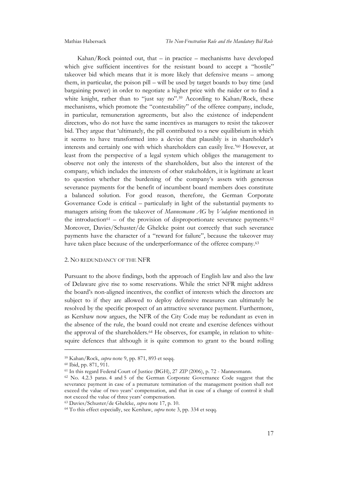Kahan/Rock pointed out, that  $-$  in practice  $-$  mechanisms have developed which give sufficient incentives for the resistant board to accept a "hostile" takeover bid which means that it is more likely that defensive means – among them, in particular, the poison pill – will be used by target boards to buy time (and bargaining power) in order to negotiate a higher price with the raider or to find a white knight, rather than to "just say no".<sup>59</sup> According to Kahan/Rock, these mechanisms, which promote the "contestability" of the offeree company, include, in particular, remuneration agreements, but also the existence of independent directors, who do not have the same incentives as managers to resist the takeover bid. They argue that 'ultimately, the pill contributed to a new equilibrium in which it seems to have transformed into a device that plausibly is in shareholder's interests and certainly one with which shareholders can easily live.' <sup>60</sup> However, at least from the perspective of a legal system which obliges the management to observe not only the interests of the shareholders, but also the interest of the company, which includes the interests of other stakeholders, it is legitimate at least to question whether the burdening of the company's assets with generous severance payments for the benefit of incumbent board members does constitute a balanced solution. For good reason, therefore, the German Corporate Governance Code is critical – particularly in light of the substantial payments to managers arising from the takeover of *Mannesmann AG* by *Vodafone* mentioned in the introduction $61 -$  of the provision of disproportionate severance payments.<sup>62</sup> Moreover, Davies/Schuster/de Ghelcke point out correctly that such severance payments have the character of a "reward for failure", because the takeover may have taken place because of the underperformance of the offeree company.<sup>63</sup>

#### 2. NO REDUNDANCY OF THE NFR

Pursuant to the above findings, both the approach of English law and also the law of Delaware give rise to some reservations. While the strict NFR might address the board's non-aligned incentives, the conflict of interests which the directors are subject to if they are allowed to deploy defensive measures can ultimately be resolved by the specific prospect of an attractive severance payment. Furthermore, as Kershaw now argues, the NFR of the City Code may be redundant as even in the absence of the rule, the board could not create and exercise defences without the approval of the shareholders.<sup>64</sup> He observes, for example, in relation to whitesquire defences that although it is quite common to grant to the board rolling

<sup>59</sup> Kahan/Rock, *supra* note 9, pp. 871, 893 et seqq.

<sup>60</sup> Ibid, pp. 871, 911.

<sup>61</sup> In this regard Federal Court of Justice (BGH), 27 *ZIP* (2006), p. 72 - Mannesmann.

<sup>62</sup> No. 4.2.3 paras. 4 and 5 of the German Corporate Governance Code suggest that the severance payment in case of a premature termination of the management position shall not exceed the value of two years' compensation, and that in case of a change of control it shall not exceed the value of three years' compensation.

<sup>63</sup> Davies/Schuster/de Ghelcke, *supra* note 17, p. 10.

<sup>64</sup> To this effect especially, see Kershaw, *supra* note 3, pp. 334 et seqq.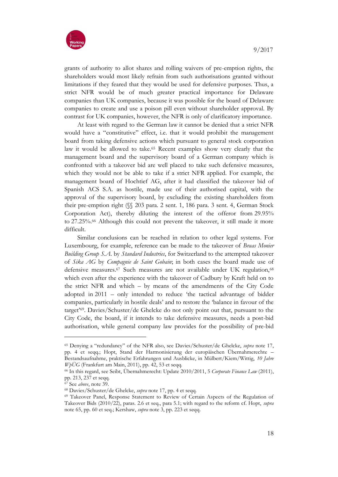

grants of authority to allot shares and rolling waivers of pre-emption rights, the shareholders would most likely refrain from such authorisations granted without limitations if they feared that they would be used for defensive purposes. Thus, a strict NFR would be of much greater practical importance for Delaware companies than UK companies, because it was possible for the board of Delaware companies to create and use a poison pill even without shareholder approval. By contrast for UK companies, however, the NFR is only of clarificatory importance.

At least with regard to the German law it cannot be denied that a strict NFR would have a "constitutive" effect, i.e. that it would prohibit the management board from taking defensive actions which pursuant to general stock corporation law it would be allowed to take.<sup>65</sup> Recent examples show very clearly that the management board and the supervisory board of a German company which is confronted with a takeover bid are well placed to take such defensive measures, which they would not be able to take if a strict NFR applied. For example, the management board of Hochtief AG, after it had classified the takeover bid of Spanish ACS S.A. as hostile, made use of their authorised capital, with the approval of the supervisory board, by excluding the existing shareholders from their pre-emption right (§§ 203 para. 2 sent. 1, 186 para. 3 sent. 4, German Stock Corporation Act), thereby diluting the interest of the offeror from 29.95% to 27.25%.<sup>66</sup> Although this could not prevent the takeover, it still made it more difficult.

Similar conclusions can be reached in relation to other legal systems. For Luxembourg, for example, reference can be made to the takeover of *Braas Monier Building Group S.A*. by *Standard Industries*, for Switzerland to the attempted takeover of *Sika AG* by *Compagnie de Saint Gobain*; in both cases the board made use of defensive measures.<sup>67</sup> Such measures are not available under UK regulation,<sup>68</sup> which even after the experience with the takeover of Cadbury by Kraft held on to the strict NFR and which – by means of the amendments of the City Code adopted in 2011 – only intended to reduce 'the tactical advantage of bidder companies, particularly in hostile deals' and to restore the 'balance in favour of the target' <sup>69</sup>. Davies/Schuster/de Ghelcke do not only point out that, pursuant to the City Code, the board, if it intends to take defensive measures, needs a post-bid authorisation, while general company law provides for the possibility of pre-bid

<sup>65</sup> Denying a "redundancy" of the NFR also, see Davies/Schuster/de Ghelcke, *supra* note 17, pp. 4 et seqq.; Hopt, Stand der Harmonisierung der europäischen Übernahmerechte – Bestandsaufnahme, praktische Erfahrungen und Ausblicke, in Mülbert/Kiem/Wittig, *10 Jahre WpÜG* (Frankfurt am Main, 2011), pp. 42, 53 et seqq.

<sup>66</sup> In this regard, see Seibt, Übernahmerecht: Update 2010/2011, 5 *Corporate Finance Law* (2011), pp. 213, 237 et seqq.

<sup>67</sup> See *above*, note 39.

<sup>68</sup> Davies/Schuster/de Ghelcke, *supra* note 17, pp. 4 et seqq.

<sup>69</sup> Takeover Panel, Response Statement to Review of Certain Aspects of the Regulation of Takeover Bids (2010/22), paras. 2.6 et seq., para 5.1; with regard to the reform cf. Hopt, *supra* note 65, pp. 60 et seq.; Kershaw, *supra* note 3, pp. 223 et seqq.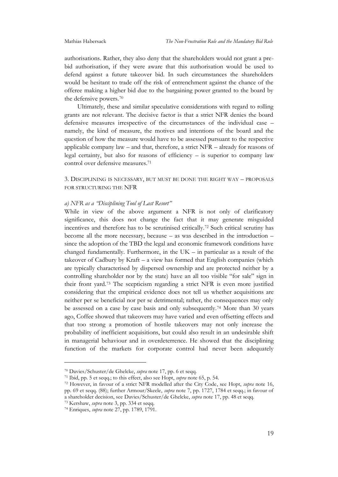authorisations. Rather, they also deny that the shareholders would not grant a prebid authorisation, if they were aware that this authorisation would be used to defend against a future takeover bid. In such circumstances the shareholders would be hesitant to trade off the risk of entrenchment against the chance of the offeree making a higher bid due to the bargaining power granted to the board by the defensive powers.<sup>70</sup>

Ultimately, these and similar speculative considerations with regard to rolling grants are not relevant. The decisive factor is that a strict NFR denies the board defensive measures irrespective of the circumstances of the individual case – namely, the kind of measure, the motives and intentions of the board and the question of how the measure would have to be assessed pursuant to the respective applicable company law – and that, therefore, a strict NFR – already for reasons of legal certainty, but also for reasons of efficiency – is superior to company law control over defensive measures.<sup>71</sup>

3. DISCIPLINING IS NECESSARY, BUT MUST BE DONE THE RIGHT WAY – PROPOSALS FOR STRUCTURING THE NFR

#### *a) NFR as a "Disciplining Tool of Last Resort"*

While in view of the above argument a NFR is not only of clarificatory significance, this does not change the fact that it may generate misguided incentives and therefore has to be scrutinised critically.<sup>72</sup> Such critical scrutiny has become all the more necessary, because – as was described in the introduction – since the adoption of the TBD the legal and economic framework conditions have changed fundamentally. Furthermore, in the UK – in particular as a result of the takeover of Cadbury by Kraft – a view has formed that English companies (which are typically characterised by dispersed ownership and are protected neither by a controlling shareholder nor by the state) have an all too visible "for sale" sign in their front yard.<sup>73</sup> The scepticism regarding a strict NFR is even more justified considering that the empirical evidence does not tell us whether acquisitions are neither per se beneficial nor per se detrimental; rather, the consequences may only be assessed on a case by case basis and only subsequently.<sup>74</sup> More than 30 years ago, Coffee showed that takeovers may have varied and even offsetting effects and that too strong a promotion of hostile takeovers may not only increase the probability of inefficient acquisitions, but could also result in an undesirable shift in managerial behaviour and in overdeterrence. He showed that the disciplining function of the markets for corporate control had never been adequately

<sup>73</sup> Kershaw, *supra* note 3, pp. 334 et seqq.

<sup>70</sup> Davies/Schuster/de Ghelcke, *supra* note 17, pp. 6 et seqq.

<sup>71</sup> Ibid, pp. 5 et seqq.; to this effect, also see Hopt, *supra* note 65, p. 54.

<sup>72</sup> However, in favour of a strict NFR modelled after the City Code, see Hopt, *supra* note 16, pp. 69 et seqq. (88); further Armour/Skeele, *supra* note 7, pp. 1727, 1784 et seqq.; in favour of a shareholder decision, see Davies/Schuster/de Ghelcke, *supra* note 17, pp. 48 et seqq.

<sup>74</sup> Enriques, *supra* note 27, pp. 1789, 1791.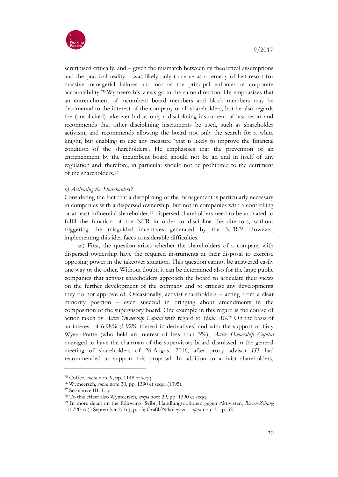

scrutinised critically, and – given the mismatch between its theoretical assumptions and the practical reality – was likely only to serve as a remedy of last resort for massive managerial failures and not as the principal enforcer of corporate accountability.<sup>75</sup> Wymeersch's views go in the same direction. He emphasises that an entrenchment of incumbent board members and block members may be detrimental to the interest of the company or all shareholders, but he also regards the (unsolicited) takeover bid as only a disciplining instrument of last resort and recommends that other disciplining instruments be used, such as shareholder activism, and recommends allowing the board not only the search for a white knight, but enabling to use any measure 'that is likely to improve the financial condition of the shareholders'. He emphasises that the prevention of an entrenchment by the incumbent board should not be an end in itself of any regulation and, therefore, in particular should not be prohibited to the detriment of the shareholders.<sup>76</sup>

#### *b) Activating the Shareholders?*

Considering the fact that a disciplining of the management is particularly necessary in companies with a dispersed ownership, but not in companies with a controlling or at least influential shareholder,<sup>77</sup> dispersed shareholders need to be activated to fulfil the function of the NFR in order to discipline the directors, without triggering the misguided incentives generated by the NFR.<sup>78</sup> However, implementing this idea faces considerable difficulties.

aa) First, the question arises whether the shareholders of a company with dispersed ownership have the required instruments at their disposal to exercise opposing power in the takeover situation. This question cannot be answered easily one way or the other. Without doubt, it can be determined also for the large public companies that activist shareholders approach the board to articulate their views on the further development of the company and to criticise any developments they do not approve of. Occasionally, activist shareholders – acting from a clear minority position – even succeed in bringing about amendments in the composition of the supervisory board. One example in this regard is the course of action taken by *Acitve Ownership Capital* with regard to *Stada AG*. <sup>79</sup> On the basis of an interest of 6.98% (1.92% thereof in derivatives) and with the support of Guy Wyser-Pratte (who held an interest of less than 3%), *Active Ownership Capital* managed to have the chairman of the supervisory board dismissed in the general meeting of shareholders of 26 August 2016, after proxy advisor *ISS* had recommended to support this proposal. In addition to activist shareholders,

<sup>75</sup> Coffee, *supra* note 9, pp. 1148 et seqq.

<sup>76</sup> Wymeersch, *supra* note 30, pp. 1390 et seqq. (1395).

<sup>77</sup> See above III. 1. a.

<sup>78</sup> To this effect also Wymeersch, *surpa* note 29, pp. 1390 et seqq.

<sup>79</sup> In more detail on the following, Seibt, Handlungsoptionen gegen Aktivisten, *Börsen-Zeitung* 170/2016 (3 September 2016), p. 13; Graßl/Nikoleyczik, *supra* note 31, p. 52.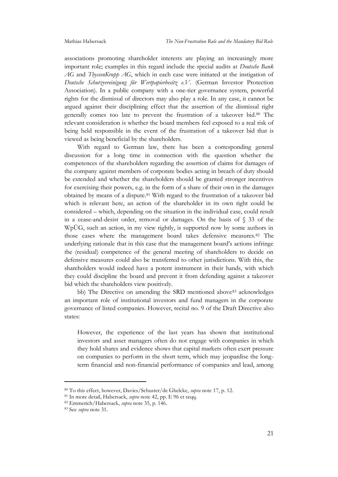associations promoting shareholder interests are playing an increasingly more important role; examples in this regard include the special audits at *Deutsche Bank AG* and *ThyssenKrupp AG*, which in each case were initiated at the instigation of *Deutsche Schutzvereinigung für Wertpapierbesitz e.V*. (German Investor Protection Association). In a public company with a one-tier governance system, powerful rights for the dismissal of directors may also play a role. In any case, it cannot be argued against their disciplining effect that the assertion of the dismissal right generally comes too late to prevent the frustration of a takeover bid.<sup>80</sup> The relevant consideration is whether the board members feel exposed to a real risk of being held responsible in the event of the frustration of a takeover bid that is viewed as being beneficial by the shareholders.

With regard to German law, there has been a corresponding general discussion for a long time in connection with the question whether the competences of the shareholders regarding the assertion of claims for damages of the company against members of corporate bodies acting in breach of duty should be extended and whether the shareholders should be granted stronger incentives for exercising their powers, e.g. in the form of a share of their own in the damages obtained by means of a dispute.<sup>81</sup> With regard to the frustration of a takeover bid which is relevant here, an action of the shareholder in its own right could be considered – which, depending on the situation in the individual case, could result in a cease-and-desist order, removal or damages. On the basis of § 33 of the WpÜG, such an action, in my view rightly, is supported now by some authors in those cases where the management board takes defensive measures.<sup>82</sup> The underlying rationale that in this case that the management board's actions infringe the (residual) competence of the general meeting of shareholders to decide on defensive measures could also be transferred to other jurisdictions. With this, the shareholders would indeed have a potent instrument in their hands, with which they could discipline the board and prevent it from defending against a takeover bid which the shareholders view positively.

bb) The Directive on amending the SRD mentioned above<sup>83</sup> acknowledges an important role of institutional investors and fund managers in the corporate governance of listed companies. However, recital no. 9 of the Draft Directive also states:

However, the experience of the last years has shown that institutional investors and asset managers often do not engage with companies in which they hold shares and evidence shows that capital markets often exert pressure on companies to perform in the short term, which may jeopardise the longterm financial and non-financial performance of companies and lead, among

<sup>80</sup> To this effect, however, Davies/Schuster/de Ghelcke, *supra* note 17, p. 12.

<sup>81</sup> In more detail, Habersack, *supra* note 42, pp. E 96 et seqq.

<sup>82</sup> Emmerich/Habersack, *supra* note 35, p. 146.

<sup>83</sup> See *supra* note 31.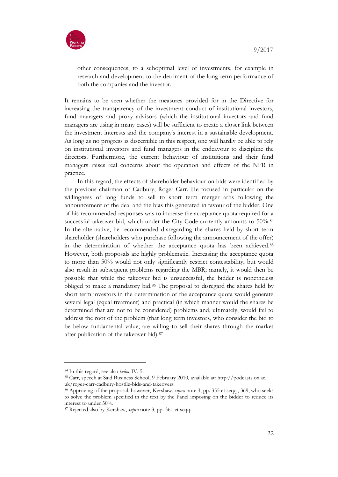

other consequences, to a suboptimal level of investments, for example in research and development to the detriment of the long-term performance of both the companies and the investor.

It remains to be seen whether the measures provided for in the Directive for increasing the transparency of the investment conduct of institutional investors, fund managers and proxy advisors (which the institutional investors and fund managers are using in many cases) will be sufficient to create a closer link between the investment interests and the company's interest in a sustainable development. As long as no progress is discernible in this respect, one will hardly be able to rely on institutional investors and fund managers in the endeavour to discipline the directors. Furthermore, the current behaviour of institutions and their fund managers raises real concerns about the operation and effects of the NFR in practice.

In this regard, the effects of shareholder behaviour on bids were identified by the previous chairman of Cadbury, Roger Carr. He focused in particular on the willingness of long funds to sell to short term merger arbs following the announcement of the deal and the bias this generated in favour of the bidder. One of his recommended responses was to increase the acceptance quota required for a successful takeover bid, which under the City Code currently amounts to 50%.<sup>84</sup> In the alternative, he recommended disregarding the shares held by short term shareholder (shareholders who purchase following the announcement of the offer) in the determination of whether the acceptance quota has been achieved.<sup>85</sup> However, both proposals are highly problematic. Increasing the acceptance quota to more than 50% would not only significantly restrict contestability, but would also result in subsequent problems regarding the MBR; namely, it would then be possible that while the takeover bid is unsuccessful, the bidder is nonetheless obliged to make a mandatory bid.<sup>86</sup> The proposal to disregard the shares held by short term investors in the determination of the acceptance quota would generate several legal (equal treatment) and practical (in which manner would the shares be determined that are not to be considered) problems and, ultimately, would fail to address the root of the problem (that long term investors, who consider the bid to be below fundamental value, are willing to sell their shares through the market after publication of the takeover bid).<sup>87</sup>

<sup>84</sup> In this regard, see also *below* IV. 5.

<sup>85</sup> Carr, speech at Said Business School, 9 February 2010, available at: http://podcasts.ox.ac. uk/roger-carr-cadbury-hostile-bids-and-takeovers.

<sup>86</sup> Approving of the proposal, however, Kershaw, *supra* note 3, pp. 355 et seqq., 369, who seeks to solve the problem specified in the text by the Panel imposing on the bidder to reduce its interest to under 30%.

<sup>87</sup> Rejected also by Kershaw, *supra* note 3, pp. 361 et seqq.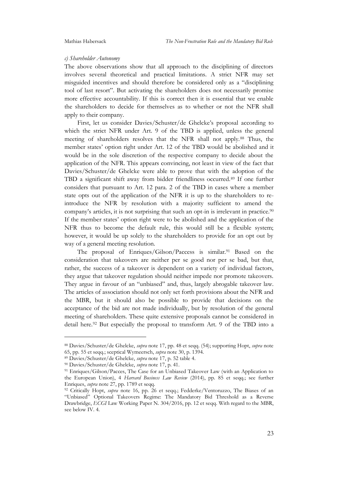#### *c) Shareholder Autonomy*

The above observations show that all approach to the disciplining of directors involves several theoretical and practical limitations. A strict NFR may set misguided incentives and should therefore be considered only as a "disciplining tool of last resort". But activating the shareholders does not necessarily promise more effective accountability. If this is correct then it is essential that we enable the shareholders to decide for themselves as to whether or not the NFR shall apply to their company.

First, let us consider Davies/Schuster/de Ghelcke's proposal according to which the strict NFR under Art. 9 of the TBD is applied, unless the general meeting of shareholders resolves that the NFR shall not apply.<sup>88</sup> Thus, the member states' option right under Art. 12 of the TBD would be abolished and it would be in the sole discretion of the respective company to decide about the application of the NFR. This appears convincing, not least in view of the fact that Davies/Schuster/de Ghelcke were able to prove that with the adoption of the TBD a significant shift away from bidder friendliness occurred.<sup>89</sup> If one further considers that pursuant to Art. 12 para. 2 of the TBD in cases where a member state opts out of the application of the NFR it is up to the shareholders to reintroduce the NFR by resolution with a majority sufficient to amend the company's articles, it is not surprising that such an opt-in is irrelevant in practice.<sup>90</sup> If the member states' option right were to be abolished and the application of the NFR thus to become the default rule, this would still be a flexible system; however, it would be up solely to the shareholders to provide for an opt out by way of a general meeting resolution.

The proposal of Enriques/Gilson/Paccess is similar.<sup>91</sup> Based on the consideration that takeovers are neither per se good nor per se bad, but that, rather, the success of a takeover is dependent on a variety of individual factors, they argue that takeover regulation should neither impede nor promote takeovers. They argue in favour of an "unbiased" and, thus, largely abrogable takeover law. The articles of association should not only set forth provisions about the NFR and the MBR, but it should also be possible to provide that decisions on the acceptance of the bid are not made individually, but by resolution of the general meeting of shareholders. These quite extensive proposals cannot be considered in detail here.<sup>92</sup> But especially the proposal to transform Art. 9 of the TBD into a

<sup>88</sup> Davies/Schuster/de Ghelcke, *supra* note 17, pp. 48 et seqq. (54); supporting Hopt, *supra* note 65, pp. 55 et seqq.; sceptical Wymeersch, *supra* note 30, p. 1394.

<sup>89</sup> Davies/Schuster/de Ghelcke, *supra* note 17, p. 52 table 4.

<sup>90</sup> Davies/Schuster/de Ghelcke, *supra* note 17, p. 41.

<sup>&</sup>lt;sup>91</sup> Enriques/Gilson/Pacces, The Case for an Unbiased Takeover Law (with an Application to the European Union), 4 *Harvard Business Law Review* (2014), pp. 85 et seqq.; see further Enriques, *supra* note 27, pp. 1789 et seqq.

<sup>92</sup> Critically Hopt, *supra* note 16, pp. 26 et seqq.; Fedderke/Ventoruzzo, The Biases of an "Unbiased" Optional Takeovers Regime: The Mandatory Bid Threshold as a Reverse Drawbridge, *ECGI* Law Working Paper N. 304/2016, pp. 12 et seqq. With regard to the MBR, see below IV. 4.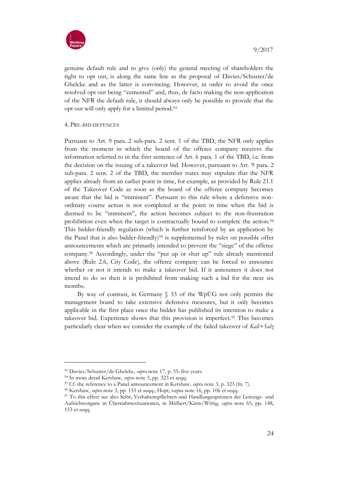

genuine default rule and to give (only) the general meeting of shareholders the right to opt out, is along the same line as the proposal of Davies/Schuster/de Ghelcke and as the latter is convincing. However, in order to avoid the once resolved opt out being "cemented" and, thus, de facto making the non-application of the NFR the default rule, it should always only be possible to provide that the opt out will only apply for a limited period.<sup>93</sup>

#### 4. PRE-BID DEFENCES

Pursuant to Art. 9 para. 2 sub-para. 2 sent. 1 of the TBD, the NFR only applies from the moment in which the board of the offeree company receives the information referred to in the first sentence of Art. 6 para. 1 of the TBD, i.e. from the decision on the issuing of a takeover bid. However, pursuant to Art. 9 para. 2 sub-para. 2 sent. 2 of the TBD, the member states may stipulate that the NFR applies already from an earlier point in time, for example, as provided by Rule 21.1 of the Takeover Code as soon as the board of the offeree company becomes aware that the bid is "imminent". Pursuant to this rule where a defensive nonordinary course action is not completed at the point in time when the bid is deemed to be "imminent", the action becomes subject to the non-frustration prohibition even when the target is contractually bound to complete the action.<sup>94</sup> This bidder-friendly regulation (which is further reinforced by an application by the Panel that is also bidder-friendly)<sup>95</sup> is supplemented by rules on possible offer announcements which are primarily intended to prevent the "siege" of the offeree company.<sup>96</sup> Accordingly, under the "put up or shut up" rule already mentioned above (Rule 2.6, City Code), the offeree company can be forced to announce whether or not it intends to make a takeover bid. If it announces it does not intend to do so then it is prohibited from making such a bid for the next six months.

By way of contrast, in Germany  $\S$  33 of the WpÜG not only permits the management board to take extensive defensive measures, but it only becomes applicable in the first place once the bidder has published its intention to make a takeover bid. Experience shows that this provision is imperfect.<sup>97</sup> This becomes particularly clear when we consider the example of the failed takeover of *Kali+Salz* 

<sup>93</sup> Davies/Schuster/de Ghelcke, *supra* note 17, p. 55: five years.

<sup>94</sup> In more detail Kershaw, *supra* note 3, pp. 323 et seqq.

<sup>95</sup> Cf. the reference to a Panel announcement in Kershaw, *supra* note 3, p. 323 (fn. 7).

<sup>96</sup> Kershaw, *supra* note 3, pp. 155 et seqq.; Hopt, supra note 16, pp. 106 et seqq.

<sup>97</sup> To this effect see also Seibt, Verhaltenspflichten und Handlungsoptionen der Leitungs- und Aufsichtsorgane in Übernahmesituationen, in Mülbert/Kiem/Wittig, *supra* note 65, pp. 148, 153 et seqq.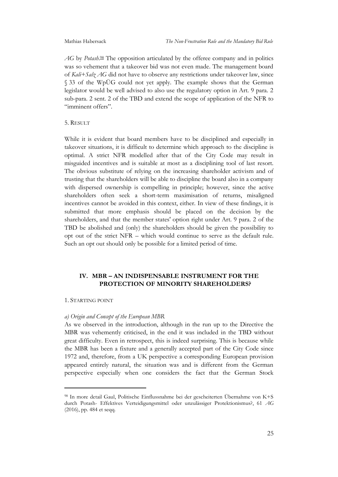AG by *Potash*.<sup>98</sup> The opposition articulated by the offeree company and in politics was so vehement that a takeover bid was not even made. The management board of *Kali+Salz AG* did not have to observe any restrictions under takeover law, since § 33 of the WpÜG could not yet apply. The example shows that the German legislator would be well advised to also use the regulatory option in Art. 9 para. 2 sub-para. 2 sent. 2 of the TBD and extend the scope of application of the NFR to "imminent offers".

#### 5. RESULT

While it is evident that board members have to be disciplined and especially in takeover situations, it is difficult to determine which approach to the discipline is optimal. A strict NFR modelled after that of the City Code may result in misguided incentives and is suitable at most as a disciplining tool of last resort. The obvious substitute of relying on the increasing shareholder activism and of trusting that the shareholders will be able to discipline the board also in a company with dispersed ownership is compelling in principle; however, since the active shareholders often seek a short-term maximisation of returns, misaligned incentives cannot be avoided in this context, either. In view of these findings, it is submitted that more emphasis should be placed on the decision by the shareholders, and that the member states' option right under Art. 9 para. 2 of the TBD be abolished and (only) the shareholders should be given the possibility to opt out of the strict NFR – which would continue to serve as the default rule. Such an opt out should only be possible for a limited period of time.

#### **IV. MBR – AN INDISPENSABLE INSTRUMENT FOR THE PROTECTION OF MINORITY SHAREHOLDERS?**

#### 1. STARTING POINT

1

#### *a) Origin and Concept of the European MBR*

As we observed in the introduction, although in the run up to the Directive the MBR was vehemently criticised, in the end it was included in the TBD without great difficulty. Even in retrospect, this is indeed surprising. This is because while the MBR has been a fixture and a generally accepted part of the City Code since 1972 and, therefore, from a UK perspective a corresponding European provision appeared entirely natural, the situation was and is different from the German perspective especially when one considers the fact that the German Stock

<sup>98</sup> In more detail Gaul, Politische Einflussnahme bei der gescheiterten Übernahme von K+S durch Potash- Effektives Verteidigungsmittel oder unzulässiger Protektionismus?, 61 *AG* (2016), pp. 484 et seqq.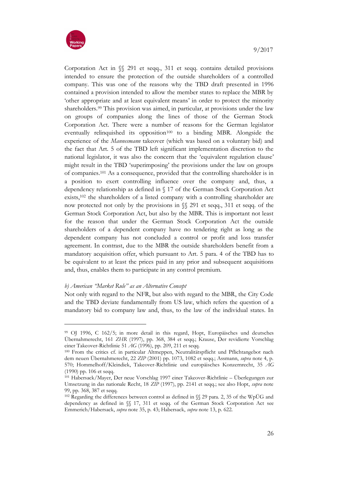

Corporation Act in §§ 291 et seqq., 311 et seqq. contains detailed provisions intended to ensure the protection of the outside shareholders of a controlled company. This was one of the reasons why the TBD draft presented in 1996 contained a provision intended to allow the member states to replace the MBR by 'other appropriate and at least equivalent means' in order to protect the minority shareholders.<sup>99</sup> This provision was aimed, in particular, at provisions under the law on groups of companies along the lines of those of the German Stock Corporation Act. There were a number of reasons for the German legislator eventually relinquished its opposition<sup>100</sup> to a binding MBR. Alongside the experience of the *Mannesmann* takeover (which was based on a voluntary bid) and the fact that Art. 5 of the TBD left significant implementation discretion to the national legislator, it was also the concern that the 'equivalent regulation clause' might result in the TBD 'superimposing' the provisions under the law on groups of companies.<sup>101</sup> As a consequence, provided that the controlling shareholder is in a position to exert controlling influence over the company and, thus, a dependency relationship as defined in § 17 of the German Stock Corporation Act exists,<sup>102</sup> the shareholders of a listed company with a controlling shareholder are now protected not only by the provisions in §§ 291 et seqq., 311 et seqq. of the German Stock Corporation Act, but also by the MBR. This is important not least for the reason that under the German Stock Corporation Act the outside shareholders of a dependent company have no tendering right as long as the dependent company has not concluded a control or profit and loss transfer agreement. In contrast, due to the MBR the outside shareholders benefit from a mandatory acquisition offer, which pursuant to Art. 5 para. 4 of the TBD has to be equivalent to at least the prices paid in any prior and subsequent acquisitions and, thus, enables them to participate in any control premium.

#### *b) American "Market Rule" as an Alternative Concept*

Not only with regard to the NFR, but also with regard to the MBR, the City Code and the TBD deviate fundamentally from US law, which refers the question of a mandatory bid to company law and, thus, to the law of the individual states. In

<sup>99</sup> OJ 1996, C 162/5; in more detail in this regard, Hopt, Europäisches und deutsches Übernahmerecht, 161 *ZHR* (1997), pp. 368, 384 et seqq.; Krause, Der revidierte Vorschlag einer Takeover-Richtlinie 51 *AG* (1996), pp. 209, 211 et seqq.

<sup>100</sup> From the critics cf. in particular Altmeppen, Neutralitätspflicht und Pflichtangebot nach dem neuen Übernahmerecht, 22 *ZIP* (2001) pp. 1073, 1082 et seqq.; Assmann, *supra* note 4, p. 570; Hommelhoff/Kleindiek, Takeover-Richtlinie und europäisches Konzernrecht, 35 *AG*  (1990) pp. 106 et seqq.

<sup>101</sup> Habersack/Mayer, Der neue Vorschlag 1997 einer Takeover-Richtlinie – Überlegungen zur Umsetzung in das nationale Recht, 18 *ZIP* (1997), pp. 2141 et seqq.; see also Hopt, *supra* note 99, pp. 368, 387 et seqq.

<sup>102</sup> Regarding the differences between control as defined in §§ 29 para. 2, 35 of the WpÜG and dependency as defined in §§ 17, 311 et seqq. of the German Stock Corporation Act see Emmerich/Habersack, *supra* note 35, p. 43; Habersack, *supra* note 13, p. 622.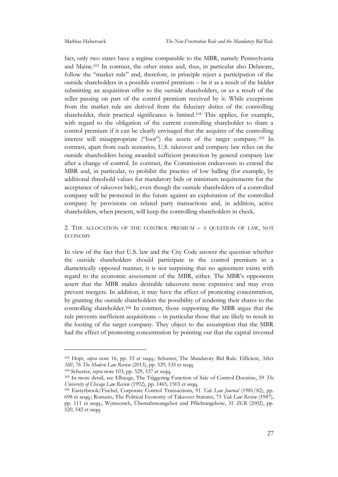fact, only two states have a regime comparable to the MBR, namely Pennsylvania and Maine.<sup>103</sup> In contrast, the other states and, thus, in particular also Delaware, follow the "market rule" and, therefore, in principle reject a participation of the outside shareholders in a possible control premium – be it as a result of the bidder submitting an acquisition offer to the outside shareholders, or as a result of the seller passing on part of the control premium received by it. While exceptions from the market rule are derived from the fiduciary duties of the controlling shareholder, their practical significance is limited.<sup>104</sup> This applies, for example, with regard to the obligation of the current controlling shareholder to share a control premium if it can be clearly envisaged that the acquirer of the controlling interest will misappropriate ("loot") the assets of the target company.<sup>105</sup> In contrast, apart from such scenarios, U.S. takeover and company law relies on the outside shareholders being awarded sufficient protection by general company law after a change of control. In contrast, the Commission endeavours to extend the MBR and, in particular, to prohibit the practice of low balling (for example, by additional threshold values for mandatory bids or minimum requirements for the acceptance of takeover bids), even though the outside shareholders of a controlled company will be protected in the future against an exploitation of the controlled company by provisions on related party transactions and, in addition, active shareholders, when present, will keep the controlling shareholders in check.

2. THE ALLOCATION OF THE CONTROL PREMIUM – A QUESTION OF LAW, NOT ECONOMY

In view of the fact that U.S. law and the City Code answer the question whether the outside shareholders should participate in the control premium in a diametrically opposed manner, it is not surprising that no agreement exists with regard to the economic assessment of the MBR, either. The MBR's opponents assert that the MBR makes desirable takeovers more expensive and may even prevent mergers. In addition, it may have the effect of promoting concentration, by granting the outside shareholders the possibility of tendering their shares to the controlling shareholder.<sup>106</sup> In contrast, those supporting the MBR argue that the rule prevents inefficient acquisitions – in particular those that are likely to result in the looting of the target company. They object to the assumption that the MBR had the effect of promoting concentration by pointing out that the capital invested

<sup>103</sup> Hopt, *supra* note 16, pp. 33 et seqq.; Schuster, The Mandatory Bid Rule: Efficient, After All?, 76 *The Modern Law Review* (2013), pp. 529, 535 et seqq.

<sup>104</sup> Schuster, *supra* note 103, pp. 529, 537 et seqq.

<sup>105</sup> In more detail, see Elhauge, The Triggering Function of Sale of Control Doctrine, 59 *The University of Chicago Law Review* (1992), pp. 1465, 1503 et seqq.

<sup>106</sup> Easterbrook/Fischel, Corporate Control Transactions, 91 *Yale Law Journal* (1981/82), pp. 698 et seqq.; Romano, The Political Economy of Takeover Statutes, 73 *Yale Law Review* (1987), pp. 111 et seqq.; Wymeersch, Übernahmeangebot und Pflichtangebote, 31 *ZGR* (2002), pp. 520, 542 et seqq.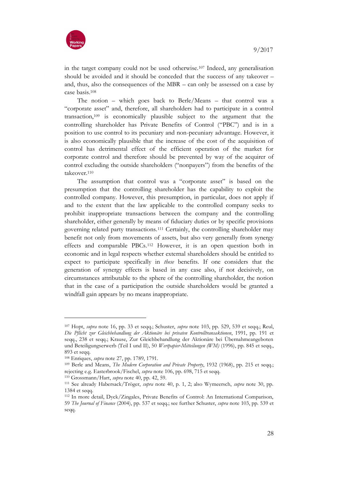

in the target company could not be used otherwise.<sup>107</sup> Indeed, any generalisation should be avoided and it should be conceded that the success of any takeover – and, thus, also the consequences of the MBR – can only be assessed on a case by case basis.<sup>108</sup>

The notion – which goes back to Berle/Means – that control was a "corporate asset" and, therefore, all shareholders had to participate in a control transaction,<sup>109</sup> is economically plausible subject to the argument that the controlling shareholder has Private Benefits of Control ("PBC") and is in a position to use control to its pecuniary and non-pecuniary advantage. However, it is also economically plausible that the increase of the cost of the acquisition of control has detrimental effect of the efficient operation of the market for corporate control and therefore should be prevented by way of the acquirer of control excluding the outside shareholders ("nonpayers") from the benefits of the takeover.<sup>110</sup>

The assumption that control was a "corporate asset" is based on the presumption that the controlling shareholder has the capability to exploit the controlled company. However, this presumption, in particular, does not apply if and to the extent that the law applicable to the controlled company seeks to prohibit inappropriate transactions between the company and the controlling shareholder, either generally by means of fiduciary duties or by specific provisions governing related party transactions.<sup>111</sup> Certainly, the controlling shareholder may benefit not only from movements of assets, but also very generally from synergy effects and comparable PBCs.<sup>112</sup> However, it is an open question both in economic and in legal respects whether external shareholders should be entitled to expect to participate specifically in *these* benefits. If one considers that the generation of synergy effects is based in any case also, if not decisively, on circumstances attributable to the sphere of the controlling shareholder, the notion that in the case of a participation the outside shareholders would be granted a windfall gain appears by no means inappropriate.

1

<sup>110</sup> Grossmann/Hart, *supra* note 40, pp. 42, 59.

<sup>107</sup> Hopt, *supra* note 16, pp. 33 et seqq.; Schuster, *supra* note 103, pp. 529, 539 et seqq.; Reul, *Die Pflicht zur Gleichbehandlung der Aktionäre bei privaten Kontrolltransaktionen*, 1991, pp. 191 et seqq., 238 et seqq.; Krause, Zur Gleichbehandlung der Aktionäre bei Übernahmeangeboten und Beteiligungserwerb (Teil I und II), 50 *Wertpapier-Mitteilungen (WM)* (1996), pp. 845 et seqq., 893 et seqq.

<sup>108</sup> Enriques, *supra* note 27, pp. 1789, 1791.

<sup>109</sup> Berle and Means, *The Modern Corporation and Private Property*, 1932 (1968), pp. 215 et seqq.; rejecting e.g. Easterbrook/Fischel, *supra* note 106, pp. 698, 715 et seqq.

<sup>111</sup> See already Habersack/Tröger, *supra* note 40, p. 1, 2; also Wymeersch, *supra* note 30, pp. 1384 et seqq.

<sup>112</sup> In more detail, Dyck/Zingales, Private Benefits of Control: An International Comparison, 59 *The Journal of Finance* (2004), pp. 537 et seqq.; see further Schuster, *supra* note 103, pp. 539 et seqq.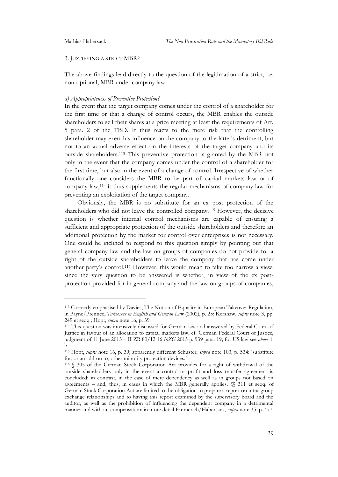#### 3. JUSTIFYING A STRICT MBR?

The above findings lead directly to the question of the legitimation of a strict, i.e. non-optional, MBR under company law.

#### *a) Appropriateness of Preventive Protection?*

In the event that the target company comes under the control of a shareholder for the first time or that a change of control occurs, the MBR enables the outside shareholders to sell their shares at a price meeting at least the requirements of Art. 5 para. 2 of the TBD. It thus reacts to the mere risk that the controlling shareholder may exert his influence on the company to the latter's detriment, but not to an actual adverse effect on the interests of the target company and its outside shareholders.<sup>113</sup> This preventive protection is granted by the MBR not only in the event that the company comes under the control of a shareholder for the first time, but also in the event of a change of control. Irrespective of whether functionally one considers the MBR to be part of capital markets law or of company law,<sup>114</sup> it thus supplements the regular mechanisms of company law for preventing an exploitation of the target company.

Obviously, the MBR is no substitute for an ex post protection of the shareholders who did not leave the controlled company.<sup>115</sup> However, the decisive question is whether internal control mechanisms are capable of ensuring a sufficient and appropriate protection of the outside shareholders and therefore an additional protection by the market for control over enterprises is not necessary. One could be inclined to respond to this question simply by pointing out that general company law and the law on groups of companies do not provide for a right of the outside shareholders to leave the company that has come under another party's control.<sup>116</sup> However, this would mean to take too narrow a view, since the very question to be answered is whether, in view of the ex postprotection provided for in general company and the law on groups of companies,

<sup>113</sup> Correctly emphasised by Davies, The Notion of Equality in European Takeover Regulation, in Payne/Prentice, *Takeovers in English and German Law* (2002), p. 25; Kershaw, *supra* note 3, pp. 249 et seqq.; Hopt, *supra* note 16, p. 39.

<sup>114</sup> This question was intensively discussed for German law and answered by Federal Court of Justice in favour of an allocation to capital markets law, cf. German Federal Court of Justice, judgment of 11 June 2013 – II ZR 80/12 16 *NZG* 2013 p. 939 para. 19; for US law see *above* 1. b.

<sup>115</sup> Hopt, *supra* note 16, p. 39; apparently different Schuster, *supra* note 103, p. 534: 'substitute for, or an add-on to, other minority protection devices.'

<sup>116</sup> § 305 of the German Stock Corporation Act provides for a right of withdrawal of the outside shareholders only in the event a control or profit and loss transfer agreement is concluded; in contrast, in the case of mere dependency as well as in groups not based on agreements – and, thus, in cases in which the MBR generally applies.  $\S$  311 et seqq. of German Stock Corporation Act are limited to the obligation to prepare a report on intra-group exchange relationships and to having this report examined by the supervisory board and the auditor, as well as the prohibition of influencing the dependent company in a detrimental manner and without compensation; in more detail Emmerich/Habersack, *supra* note 35, p. 477.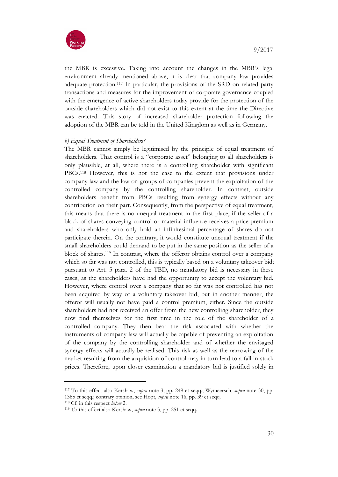

the MBR is excessive. Taking into account the changes in the MBR's legal environment already mentioned above, it is clear that company law provides adequate protection.<sup>117</sup> In particular, the provisions of the SRD on related party transactions and measures for the improvement of corporate governance coupled with the emergence of active shareholders today provide for the protection of the outside shareholders which did not exist to this extent at the time the Directive was enacted. This story of increased shareholder protection following the adoption of the MBR can be told in the United Kingdom as well as in Germany.

#### *b) Equal Treatment of Shareholders?*

The MBR cannot simply be legitimised by the principle of equal treatment of shareholders. That control is a "corporate asset" belonging to all shareholders is only plausible, at all, where there is a controlling shareholder with significant PBCs.<sup>118</sup> However, this is not the case to the extent that provisions under company law and the law on groups of companies prevent the exploitation of the controlled company by the controlling shareholder. In contrast, outside shareholders benefit from PBCs resulting from synergy effects without any contribution on their part. Consequently, from the perspective of equal treatment, this means that there is no unequal treatment in the first place, if the seller of a block of shares conveying control or material influence receives a price premium and shareholders who only hold an infinitesimal percentage of shares do not participate therein. On the contrary, it would constitute unequal treatment if the small shareholders could demand to be put in the same position as the seller of a block of shares.<sup>119</sup> In contrast, where the offeror obtains control over a company which so far was not controlled, this is typically based on a voluntary takeover bid; pursuant to Art. 5 para. 2 of the TBD, no mandatory bid is necessary in these cases, as the shareholders have had the opportunity to accept the voluntary bid. However, where control over a company that so far was not controlled has not been acquired by way of a voluntary takeover bid, but in another manner, the offeror will usually not have paid a control premium, either. Since the outside shareholders had not received an offer from the new controlling shareholder, they now find themselves for the first time in the role of the shareholder of a controlled company. They then bear the risk associated with whether the instruments of company law will actually be capable of preventing an exploitation of the company by the controlling shareholder and of whether the envisaged synergy effects will actually be realised. This risk as well as the narrowing of the market resulting from the acquisition of control may in turn lead to a fall in stock prices. Therefore, upon closer examination a mandatory bid is justified solely in

<sup>117</sup> To this effect also Kershaw, *supra* note 3, pp. 249 et seqq.; Wymeersch, *supra* note 30, pp. 1385 et seqq.; contrary opinion, see Hopt, *supra* note 16, pp. 39 et seqq.

<sup>118</sup> Cf. in this respect *below* 2.

<sup>119</sup> To this effect also Kershaw, *supra* note 3, pp. 251 et seqq.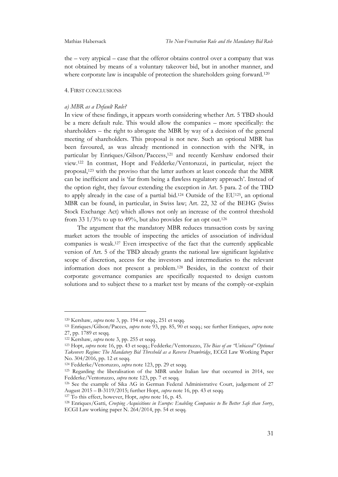the – very atypical – case that the offeror obtains control over a company that was not obtained by means of a voluntary takeover bid, but in another manner, and where corporate law is incapable of protection the shareholders going forward.<sup>120</sup>

#### 4. FIRST CONCLUSIONS

#### *a) MBR as a Default Rule?*

In view of these findings, it appears worth considering whether Art. 5 TBD should be a mere default rule. This would allow the companies – more specifically: the shareholders – the right to abrogate the MBR by way of a decision of the general meeting of shareholders. This proposal is not new. Such an optional MBR has been favoured, as was already mentioned in connection with the NFR, in particular by Enriques/Gilson/Paccess, <sup>121</sup> and recently Kershaw endorsed their view.<sup>122</sup> In contrast, Hopt and Fedderke/Ventoruzzi, in particular, reject the proposal,<sup>123</sup> with the proviso that the latter authors at least concede that the MBR can be inefficient and is 'far from being a flawless regulatory approach'. Instead of the option right, they favour extending the exception in Art. 5 para. 2 of the TBD to apply already in the case of a partial bid.<sup>124</sup> Outside of the EU125, an optional MBR can be found, in particular, in Swiss law; Art. 22, 32 of the BEHG (Swiss Stock Exchange Act) which allows not only an increase of the control threshold from 33  $1/3\%$  to up to 49%, but also provides for an opt out.<sup>126</sup>

The argument that the mandatory MBR reduces transaction costs by saving market actors the trouble of inspecting the articles of association of individual companies is weak.<sup>127</sup> Even irrespective of the fact that the currently applicable version of Art. 5 of the TBD already grants the national law significant legislative scope of discretion, access for the investors and intermediaries to the relevant information does not present a problem.<sup>128</sup> Besides, in the context of their corporate governance companies are specifically requested to design custom solutions and to subject these to a market test by means of the comply-or-explain

<sup>120</sup> Kershaw, *supra* note 3, pp. 194 et seqq., 251 et seqq.

<sup>121</sup> Enriques/Gilson/Pacces, *supra* note 93, pp. 85, 90 et seqq.; see further Enriques, *supra* note 27, pp. 1789 et seqq.

<sup>122</sup> Kershaw, *supra* note 3, pp. 255 et seqq.

<sup>123</sup> Hopt, *supra* note 16, pp. 43 et seqq.; Fedderke/Ventoruzzo, *The Bias of an "Unbiased" Optional Takeovers Regime: The Mandatory Bid Threshold as a Reverse Drawbridge*, ECGI Law Working Paper No. 304/2016, pp. 12 et seqq.

<sup>124</sup> Fedderke/Venoruzzo, *supra* note 123, pp. 29 et seqq.

<sup>125</sup> Regarding the liberalisation of the MBR under Italian law that occurred in 2014, see Fedderke/Ventoruzzo, *supra* note 123, pp. 7 et seqq.

<sup>126</sup> See the example of Sika AG in German Federal Administrative Court, judgement of 27 August 2015 – B-3119/2015; further Hopt, *supra* note 16, pp. 43 et seqq.

<sup>127</sup> To this effect, however, Hopt, *supra* note 16, p. 45.

<sup>128</sup> Enriques/Gatti, *Creeping Acquisitions in Europe: Enabling Companies to Be Better Safe than Sorry*, ECGI Law working paper N. 264/2014, pp. 54 et seqq.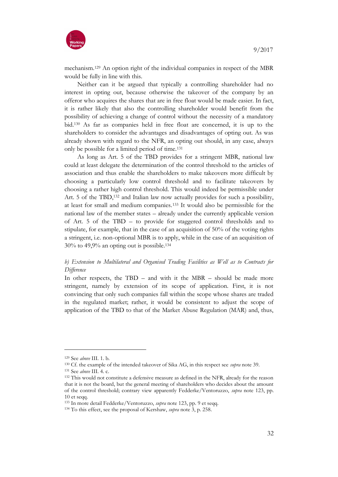

mechanism.<sup>129</sup> An option right of the individual companies in respect of the MBR would be fully in line with this.

Neither can it be argued that typically a controlling shareholder had no interest in opting out, because otherwise the takeover of the company by an offeror who acquires the shares that are in free float would be made easier. In fact, it is rather likely that also the controlling shareholder would benefit from the possibility of achieving a change of control without the necessity of a mandatory bid.<sup>130</sup> As far as companies held in free float are concerned, it is up to the shareholders to consider the advantages and disadvantages of opting out. As was already shown with regard to the NFR, an opting out should, in any case, always only be possible for a limited period of time.<sup>131</sup>

As long as Art. 5 of the TBD provides for a stringent MBR, national law could at least delegate the determination of the control threshold to the articles of association and thus enable the shareholders to make takeovers more difficult by choosing a particularly low control threshold and to facilitate takeovers by choosing a rather high control threshold. This would indeed be permissible under Art. 5 of the TBD,<sup>132</sup> and Italian law now actually provides for such a possibility, at least for small and medium companies.<sup>133</sup> It would also be permissible for the national law of the member states – already under the currently applicable version of Art. 5 of the TBD – to provide for staggered control thresholds and to stipulate, for example, that in the case of an acquisition of 50% of the voting rights a stringent, i.e. non-optional MBR is to apply, while in the case of an acquisition of 30% to 49,9% an opting out is possible.<sup>134</sup>

### *b) Extension to Multilateral and Organised Trading Facilities as Well as to Contracts for Difference*

In other respects, the TBD – and with it the MBR – should be made more stringent, namely by extension of its scope of application. First, it is not convincing that only such companies fall within the scope whose shares are traded in the regulated market; rather, it would be consistent to adjust the scope of application of the TBD to that of the Market Abuse Regulation (MAR) and, thus,

<sup>129</sup> See *above* III. 1. b.

<sup>130</sup> Cf. the example of the intended takeover of Sika AG, in this respect see *supra* note 39.

<sup>131</sup> See *above* III. 4. c.

<sup>132</sup> This would not constitute a defensive measure as defined in the NFR, already for the reason that it is not the board, but the general meeting of shareholders who decides about the amount of the control threshold; contrary view apparently Fedderke/Ventoruzzo, *supra* note 123, pp. 10 et seqq.

<sup>133</sup> In more detail Fedderke/Ventoruzzo, *supra* note 123, pp. 9 et seqq.

<sup>134</sup> To this effect, see the proposal of Kershaw, *supra* note 3, p. 258.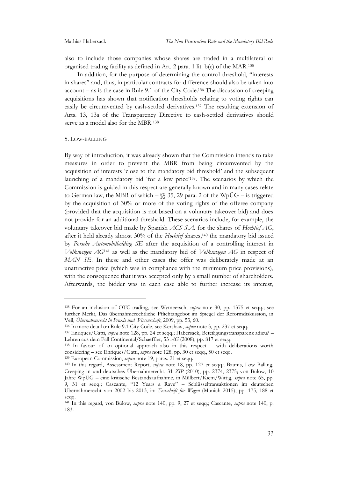also to include those companies whose shares are traded in a multilateral or organised trading facility as defined in Art. 2 para. 1 lit. b(c) of the MAR.<sup>135</sup>

In addition, for the purpose of determining the control threshold, "interests in shares" and, thus, in particular contracts for difference should also be taken into account – as is the case in Rule 9.1 of the City Code.<sup>136</sup> The discussion of creeping acquisitions has shown that notification thresholds relating to voting rights can easily be circumvented by cash-settled derivatives.<sup>137</sup> The resulting extension of Arts. 13, 13a of the Transparency Directive to cash-settled derivatives should serve as a model also for the MBR.<sup>138</sup>

#### 5. LOW-BALLING

1

By way of introduction, it was already shown that the Commission intends to take measures in order to prevent the MBR from being circumvented by the acquisition of interests 'close to the mandatory bid threshold' and the subsequent launching of a mandatory bid 'for a low price' <sup>139</sup>. The scenarios by which the Commission is guided in this respect are generally known and in many cases relate to German law, the MBR of which –  $\{\$ 35, 29 \text{ para. 2 of the WpÜG - is triggered}$ by the acquisition of 30% or more of the voting rights of the offeree company (provided that the acquisition is not based on a voluntary takeover bid) and does not provide for an additional threshold. These scenarios include, for example, the voluntary takeover bid made by Spanish *ACS S.A.* for the shares of *Hochtief AG*, after it held already almost 30% of the *Hochtief* shares,<sup>140</sup> the mandatory bid issued by *Porsche Automobilholding SE* after the acquisition of a controlling interest in *Volkswagen AG*<sup>141</sup> as well as the mandatory bid of *Volkswagen AG* in respect of *MAN SE*. In these and other cases the offer was deliberately made at an unattractive price (which was in compliance with the minimum price provisions), with the consequence that it was accepted only by a small number of shareholders. Afterwards, the bidder was in each case able to further increase its interest,

<sup>135</sup> For an inclusion of OTC trading, see Wymeersch, *supra* note 30, pp. 1375 et seqq.; see further Merkt, Das übernahmerechtliche Pflichtangebot im Spiegel der Reformdiskussion, in Veil, *Übernahmerecht in Praxis und Wissenschaft*, 2009, pp. 53, 60.

<sup>136</sup> In more detail on Rule 9.1 City Code, see Kershaw, *supra* note 3, pp. 237 et seqq.

<sup>137</sup> Enriques/Gatti, *supra* note 128, pp. 24 et seqq.; Habersack, Beteiligungstransparenz adieu? – Lehren aus dem Fall Continental/Schaeffler, 53 *AG* (2008), pp. 817 et seqq.

<sup>138</sup> In favour of an optional approach also in this respect – with deliberations worth considering – see Enriques/Gatti, *supra* note 128, pp. 30 et seqq., 50 et seqq.

<sup>139</sup> European Commission, *supra* note 19, paras. 21 et seqq.

<sup>140</sup> In this regard, Assessment Report, *supra* note 18, pp. 127 et seqq.; Baums, Low Balling, Creeping in und deutsches Übernahmerecht, 31 *ZIP* (2010), pp. 2374, 2375; von Bülow, 10 Jahre WpÜG – eine kritische Bestandsaufnahme, in Mülbert/Kiem/Wittig, *supra* note 65, pp. 9, 31 et seqq.; Cascante, "12 Years a Rave" – Schlüsseltransaktionen im deutschen Übernahmerecht von 2002 bis 2013, in: *Festschrift für Wegen* (Munich 2015), pp. 175, 188 et seqq.

<sup>141</sup> In this regard, von Bülow, *supra* note 140, pp. 9, 27 et seqq.; Cascante, *supra* note 140, p. 183.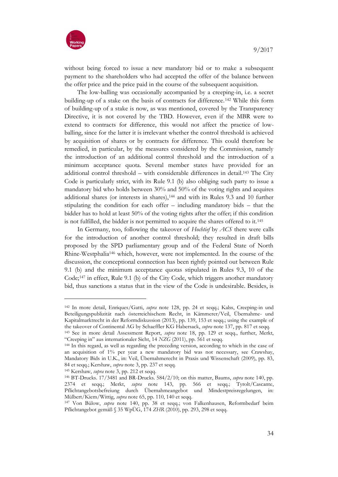

without being forced to issue a new mandatory bid or to make a subsequent payment to the shareholders who had accepted the offer of the balance between the offer price and the price paid in the course of the subsequent acquisition.

The low-balling was occasionally accompanied by a creeping-in, i.e. a secret building-up of a stake on the basis of contracts for difference.<sup>142</sup> While this form of building-up of a stake is now, as was mentioned, covered by the Transparency Directive, it is not covered by the TBD. However, even if the MBR were to extend to contracts for difference, this would not affect the practice of lowballing, since for the latter it is irrelevant whether the control threshold is achieved by acquisition of shares or by contracts for difference. This could therefore be remedied, in particular, by the measures considered by the Commission, namely the introduction of an additional control threshold and the introduction of a minimum acceptance quota. Several member states have provided for an additional control threshold – with considerable differences in detail.<sup>143</sup> The City Code is particularly strict, with its Rule 9.1 (b) also obliging such party to issue a mandatory bid who holds between 30% and 50% of the voting rights and acquires additional shares (or interests in shares),<sup>144</sup> and with its Rules 9.3 and 10 further stipulating the condition for each offer – including mandatory bids – that the bidder has to hold at least 50% of the voting rights after the offer; if this condition is not fulfilled, the bidder is not permitted to acquire the shares offered to it.<sup>145</sup>

In Germany, too, following the takeover of *Hochtief* by *ACS* there were calls for the introduction of another control threshold; they resulted in draft bills proposed by the SPD parliamentary group and of the Federal State of North Rhine-Westphalia<sup>146</sup> which, however, were not implemented. In the course of the discussion, the conceptional connection has been rightly pointed out between Rule 9.1 (b) and the minimum acceptance quotas stipulated in Rules 9.3, 10 of the Code;<sup>147</sup> in effect, Rule 9.1 (b) of the City Code, which triggers another mandatory bid, thus sanctions a status that in the view of the Code is undesirable. Besides, is

<sup>145</sup> Kershaw, *supra* note 3, pp. 212 et seqq.

<sup>142</sup> In more detail, Enriques/Gatti, *supra* note 128, pp. 24 et seqq.; Kalss, Creeping-in und Beteiligungspublizität nach österreichischem Recht, in Kämmerer/Veil, Übernahme- und Kapitalmarktrecht in der Reformdiskussion (2013), pp. 139, 153 et seqq.; using the example of the takeover of Continental AG by Schaeffler KG Habersack, *supra* note 137, pp. 817 et seqq.

<sup>143</sup> See in more detail Assessment Report, *supra* note 18, pp. 129 et seqq., further, Merkt, "Creeping in" aus internationaler Sicht, 14 *NZG* (2011), pp. 561 et seqq.

<sup>144</sup> In this regard, as well as regarding the preceding version, according to which in the case of an acquisition of 1% per year a new mandatory bid was not necessary, see Crawshay, Mandatory Bids in U.K., in: Veil, Übernahmerecht in Praxis und Wissenschaft (2009), pp. 83, 84 et seqq.; Kershaw, *supra* note 3, pp. 237 et seqq.

<sup>146</sup> BT-Drucks. 17/3481 and BR-Drucks. 584/2/10; on this matter, Baums, *supra* note 140, pp. 2374 et seqq.; Merkt, *supra* note 143, pp. 566 et seqq.; Tyrolt/Cascante, Pflichtangebotsbefreiung durch Übernahmeangebot und Mindestpreisregelungen, in: Mülbert/Kiem/Wittig, *supra* note 65, pp. 110, 140 et seqq.

<sup>147</sup> Von Bülow, *supra* note 140, pp. 38 et seqq.; von Falkenhausen, Reformbedarf beim Pflichtangebot gemäß § 35 WpÜG, 174 *ZHR* (2010), pp. 293, 298 et seqq.